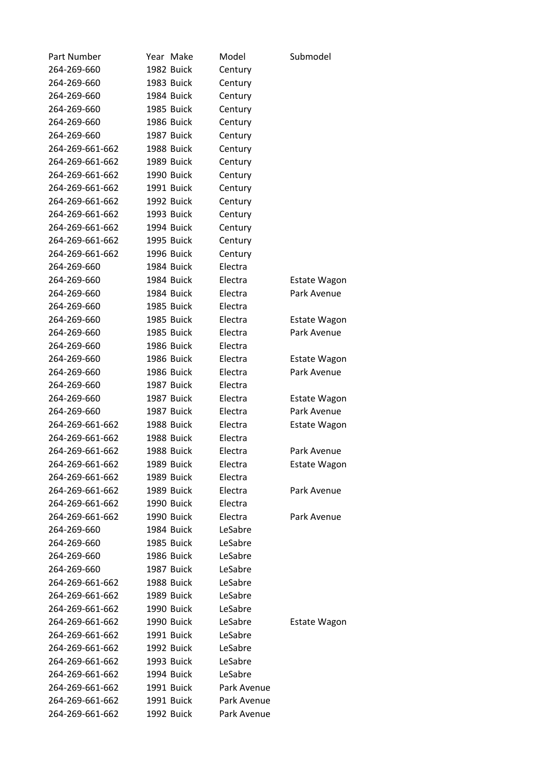| Part Number     | Year Make  | Model       | Submodel            |  |
|-----------------|------------|-------------|---------------------|--|
| 264-269-660     | 1982 Buick | Century     |                     |  |
| 264-269-660     | 1983 Buick | Century     |                     |  |
| 264-269-660     | 1984 Buick | Century     |                     |  |
| 264-269-660     | 1985 Buick | Century     |                     |  |
| 264-269-660     | 1986 Buick | Century     |                     |  |
| 264-269-660     | 1987 Buick | Century     |                     |  |
| 264-269-661-662 | 1988 Buick | Century     |                     |  |
| 264-269-661-662 | 1989 Buick | Century     |                     |  |
| 264-269-661-662 | 1990 Buick | Century     |                     |  |
| 264-269-661-662 | 1991 Buick | Century     |                     |  |
| 264-269-661-662 | 1992 Buick | Century     |                     |  |
| 264-269-661-662 | 1993 Buick | Century     |                     |  |
| 264-269-661-662 | 1994 Buick | Century     |                     |  |
| 264-269-661-662 | 1995 Buick | Century     |                     |  |
| 264-269-661-662 | 1996 Buick | Century     |                     |  |
| 264-269-660     | 1984 Buick | Electra     |                     |  |
| 264-269-660     | 1984 Buick | Electra     | <b>Estate Wagon</b> |  |
| 264-269-660     | 1984 Buick | Electra     | Park Avenue         |  |
| 264-269-660     | 1985 Buick | Electra     |                     |  |
| 264-269-660     | 1985 Buick | Electra     | Estate Wagon        |  |
| 264-269-660     | 1985 Buick | Electra     | Park Avenue         |  |
| 264-269-660     | 1986 Buick | Electra     |                     |  |
| 264-269-660     | 1986 Buick | Electra     | <b>Estate Wagon</b> |  |
| 264-269-660     | 1986 Buick | Electra     | Park Avenue         |  |
| 264-269-660     | 1987 Buick | Electra     |                     |  |
| 264-269-660     | 1987 Buick | Electra     | <b>Estate Wagon</b> |  |
| 264-269-660     | 1987 Buick | Electra     | Park Avenue         |  |
| 264-269-661-662 | 1988 Buick | Electra     | <b>Estate Wagon</b> |  |
| 264-269-661-662 | 1988 Buick | Electra     |                     |  |
| 264-269-661-662 | 1988 Buick | Electra     | Park Avenue         |  |
| 264-269-661-662 | 1989 Buick | Electra     | Estate Wagon        |  |
| 264-269-661-662 | 1989 Buick | Electra     |                     |  |
| 264-269-661-662 | 1989 Buick | Electra     | Park Avenue         |  |
| 264-269-661-662 | 1990 Buick | Electra     |                     |  |
| 264-269-661-662 | 1990 Buick | Electra     | Park Avenue         |  |
| 264-269-660     | 1984 Buick | LeSabre     |                     |  |
| 264-269-660     | 1985 Buick | LeSabre     |                     |  |
| 264-269-660     | 1986 Buick | LeSabre     |                     |  |
| 264-269-660     | 1987 Buick | LeSabre     |                     |  |
| 264-269-661-662 | 1988 Buick | LeSabre     |                     |  |
| 264-269-661-662 | 1989 Buick | LeSabre     |                     |  |
| 264-269-661-662 | 1990 Buick | LeSabre     |                     |  |
| 264-269-661-662 | 1990 Buick | LeSabre     | <b>Estate Wagon</b> |  |
| 264-269-661-662 | 1991 Buick | LeSabre     |                     |  |
| 264-269-661-662 | 1992 Buick | LeSabre     |                     |  |
| 264-269-661-662 | 1993 Buick | LeSabre     |                     |  |
| 264-269-661-662 | 1994 Buick | LeSabre     |                     |  |
| 264-269-661-662 | 1991 Buick | Park Avenue |                     |  |
| 264-269-661-662 | 1991 Buick | Park Avenue |                     |  |
| 264-269-661-662 | 1992 Buick | Park Avenue |                     |  |
|                 |            |             |                     |  |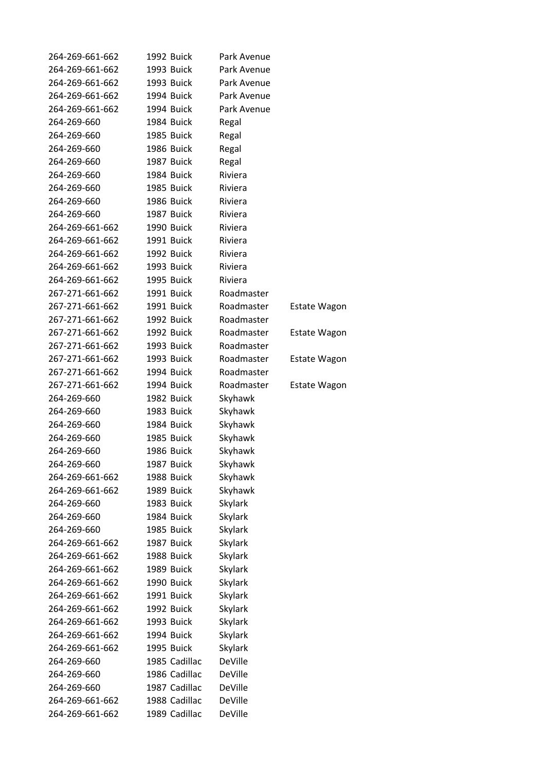| 264-269-661-662 | 1992 Buick |               | Park Avenue    |                     |
|-----------------|------------|---------------|----------------|---------------------|
| 264-269-661-662 | 1993 Buick |               | Park Avenue    |                     |
| 264-269-661-662 | 1993 Buick |               | Park Avenue    |                     |
| 264-269-661-662 | 1994 Buick |               | Park Avenue    |                     |
| 264-269-661-662 | 1994 Buick |               | Park Avenue    |                     |
| 264-269-660     | 1984 Buick |               | Regal          |                     |
| 264-269-660     | 1985 Buick |               | Regal          |                     |
| 264-269-660     | 1986 Buick |               | Regal          |                     |
| 264-269-660     | 1987 Buick |               | Regal          |                     |
| 264-269-660     | 1984 Buick |               | Riviera        |                     |
| 264-269-660     | 1985 Buick |               | Riviera        |                     |
| 264-269-660     | 1986 Buick |               | Riviera        |                     |
| 264-269-660     | 1987 Buick |               | Riviera        |                     |
| 264-269-661-662 | 1990 Buick |               | Riviera        |                     |
| 264-269-661-662 | 1991 Buick |               | Riviera        |                     |
| 264-269-661-662 | 1992 Buick |               | Riviera        |                     |
| 264-269-661-662 | 1993 Buick |               | Riviera        |                     |
| 264-269-661-662 | 1995 Buick |               | Riviera        |                     |
| 267-271-661-662 | 1991 Buick |               | Roadmaster     |                     |
| 267-271-661-662 | 1991 Buick |               | Roadmaster     | <b>Estate Wagon</b> |
| 267-271-661-662 | 1992 Buick |               | Roadmaster     |                     |
| 267-271-661-662 | 1992 Buick |               | Roadmaster     | <b>Estate Wagon</b> |
| 267-271-661-662 | 1993 Buick |               | Roadmaster     |                     |
| 267-271-661-662 | 1993 Buick |               | Roadmaster     | <b>Estate Wagon</b> |
| 267-271-661-662 | 1994 Buick |               | Roadmaster     |                     |
| 267-271-661-662 | 1994 Buick |               | Roadmaster     |                     |
| 264-269-660     | 1982 Buick |               |                | <b>Estate Wagon</b> |
| 264-269-660     | 1983 Buick |               | Skyhawk        |                     |
|                 |            |               | Skyhawk        |                     |
| 264-269-660     | 1984 Buick |               | Skyhawk        |                     |
| 264-269-660     | 1985 Buick |               | Skyhawk        |                     |
| 264-269-660     | 1986 Buick |               | Skyhawk        |                     |
| 264-269-660     | 1987 Buick |               | Skyhawk        |                     |
| 264-269-661-662 | 1988 Buick |               | Skyhawk        |                     |
| 264-269-661-662 | 1989 Buick |               | Skyhawk        |                     |
| 264-269-660     | 1983 Buick |               | Skylark        |                     |
| 264-269-660     | 1984 Buick |               | <b>Skylark</b> |                     |
| 264-269-660     | 1985 Buick |               | <b>Skylark</b> |                     |
| 264-269-661-662 | 1987 Buick |               | <b>Skylark</b> |                     |
| 264-269-661-662 | 1988 Buick |               | Skylark        |                     |
| 264-269-661-662 | 1989 Buick |               | <b>Skylark</b> |                     |
| 264-269-661-662 | 1990 Buick |               | <b>Skylark</b> |                     |
| 264-269-661-662 | 1991 Buick |               | Skylark        |                     |
| 264-269-661-662 | 1992 Buick |               | <b>Skylark</b> |                     |
| 264-269-661-662 | 1993 Buick |               | Skylark        |                     |
| 264-269-661-662 | 1994 Buick |               | <b>Skylark</b> |                     |
| 264-269-661-662 | 1995 Buick |               | <b>Skylark</b> |                     |
| 264-269-660     |            | 1985 Cadillac | DeVille        |                     |
| 264-269-660     |            | 1986 Cadillac | DeVille        |                     |
| 264-269-660     |            | 1987 Cadillac | DeVille        |                     |
| 264-269-661-662 |            | 1988 Cadillac | DeVille        |                     |
| 264-269-661-662 |            | 1989 Cadillac | DeVille        |                     |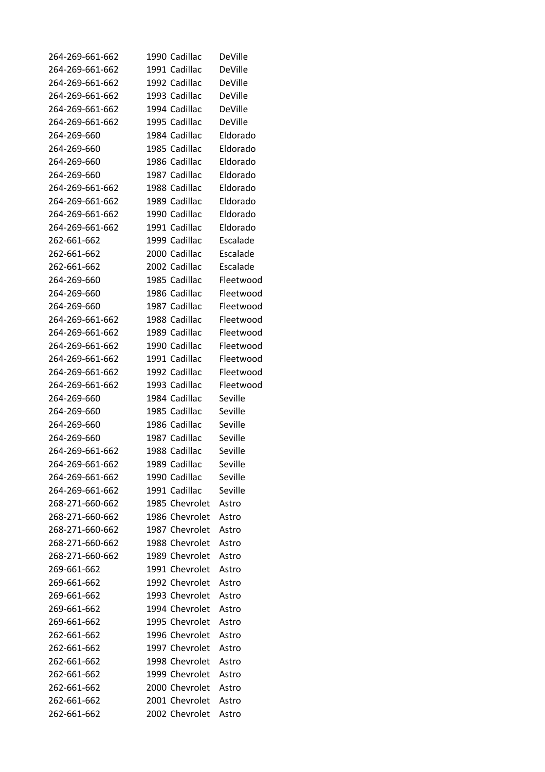| 264-269-661-662 | 1990 Cadillac  | DeVille        |
|-----------------|----------------|----------------|
| 264-269-661-662 | 1991 Cadillac  | DeVille        |
| 264-269-661-662 | 1992 Cadillac  | DeVille        |
| 264-269-661-662 | 1993 Cadillac  | <b>DeVille</b> |
| 264-269-661-662 | 1994 Cadillac  | DeVille        |
| 264-269-661-662 | 1995 Cadillac  | DeVille        |
| 264-269-660     | 1984 Cadillac  | Eldorado       |
| 264-269-660     | 1985 Cadillac  | Eldorado       |
| 264-269-660     | 1986 Cadillac  | Eldorado       |
| 264-269-660     | 1987 Cadillac  | Eldorado       |
| 264-269-661-662 | 1988 Cadillac  | Eldorado       |
| 264-269-661-662 | 1989 Cadillac  | Eldorado       |
| 264-269-661-662 | 1990 Cadillac  | Eldorado       |
| 264-269-661-662 | 1991 Cadillac  | Eldorado       |
| 262-661-662     | 1999 Cadillac  | Escalade       |
| 262-661-662     | 2000 Cadillac  | Escalade       |
| 262-661-662     | 2002 Cadillac  | Escalade       |
| 264-269-660     | 1985 Cadillac  | Fleetwood      |
| 264-269-660     | 1986 Cadillac  | Fleetwood      |
|                 | 1987 Cadillac  |                |
| 264-269-660     |                | Fleetwood      |
| 264-269-661-662 | 1988 Cadillac  | Fleetwood      |
| 264-269-661-662 | 1989 Cadillac  | Fleetwood      |
| 264-269-661-662 | 1990 Cadillac  | Fleetwood      |
| 264-269-661-662 | 1991 Cadillac  | Fleetwood      |
| 264-269-661-662 | 1992 Cadillac  | Fleetwood      |
| 264-269-661-662 | 1993 Cadillac  | Fleetwood      |
| 264-269-660     | 1984 Cadillac  | Seville        |
| 264-269-660     | 1985 Cadillac  | Seville        |
| 264-269-660     | 1986 Cadillac  | Seville        |
| 264-269-660     | 1987 Cadillac  | Seville        |
| 264-269-661-662 | 1988 Cadillac  | Seville        |
| 264-269-661-662 | 1989 Cadillac  | Seville        |
| 264-269-661-662 | 1990 Cadillac  | Seville        |
| 264-269-661-662 | 1991 Cadillac  | Seville        |
| 268-271-660-662 | 1985 Chevrolet | Astro          |
| 268-271-660-662 | 1986 Chevrolet | Astro          |
| 268-271-660-662 | 1987 Chevrolet | Astro          |
| 268-271-660-662 | 1988 Chevrolet | Astro          |
| 268-271-660-662 | 1989 Chevrolet | Astro          |
| 269-661-662     | 1991 Chevrolet | Astro          |
| 269-661-662     | 1992 Chevrolet | Astro          |
| 269-661-662     | 1993 Chevrolet | Astro          |
| 269-661-662     | 1994 Chevrolet | Astro          |
| 269-661-662     | 1995 Chevrolet | Astro          |
| 262-661-662     | 1996 Chevrolet | Astro          |
| 262-661-662     | 1997 Chevrolet | Astro          |
| 262-661-662     | 1998 Chevrolet | Astro          |
| 262-661-662     | 1999 Chevrolet | Astro          |
| 262-661-662     | 2000 Chevrolet | Astro          |
| 262-661-662     | 2001 Chevrolet | Astro          |
| 262-661-662     | 2002 Chevrolet | Astro          |
|                 |                |                |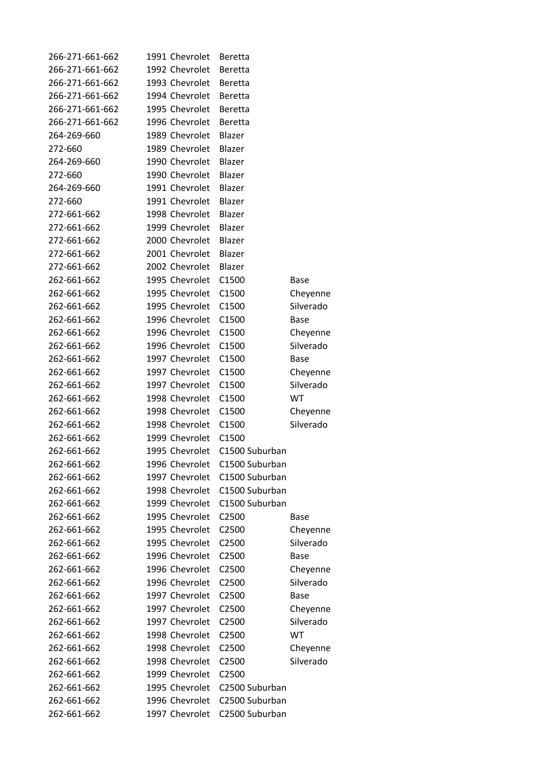| 266-271-661-662 | 1991 Chevrolet | <b>Beretta</b> |             |
|-----------------|----------------|----------------|-------------|
| 266-271-661-662 | 1992 Chevrolet | <b>Beretta</b> |             |
| 266-271-661-662 | 1993 Chevrolet | <b>Beretta</b> |             |
| 266-271-661-662 | 1994 Chevrolet | <b>Beretta</b> |             |
| 266-271-661-662 | 1995 Chevrolet | Beretta        |             |
| 266-271-661-662 | 1996 Chevrolet | <b>Beretta</b> |             |
| 264-269-660     | 1989 Chevrolet | Blazer         |             |
| 272-660         | 1989 Chevrolet | Blazer         |             |
| 264-269-660     | 1990 Chevrolet | Blazer         |             |
| 272-660         | 1990 Chevrolet | Blazer         |             |
| 264-269-660     | 1991 Chevrolet | Blazer         |             |
| 272-660         | 1991 Chevrolet | Blazer         |             |
| 272-661-662     | 1998 Chevrolet | Blazer         |             |
| 272-661-662     | 1999 Chevrolet | Blazer         |             |
| 272-661-662     | 2000 Chevrolet | Blazer         |             |
| 272-661-662     | 2001 Chevrolet | Blazer         |             |
| 272-661-662     | 2002 Chevrolet | Blazer         |             |
| 262-661-662     | 1995 Chevrolet | C1500          | Base        |
| 262-661-662     | 1995 Chevrolet | C1500          | Cheyenne    |
| 262-661-662     | 1995 Chevrolet | C1500          | Silverado   |
| 262-661-662     | 1996 Chevrolet | C1500          | Base        |
| 262-661-662     | 1996 Chevrolet | C1500          | Cheyenne    |
| 262-661-662     | 1996 Chevrolet | C1500          | Silverado   |
| 262-661-662     | 1997 Chevrolet | C1500          | Base        |
| 262-661-662     | 1997 Chevrolet | C1500          | Cheyenne    |
| 262-661-662     | 1997 Chevrolet | C1500          | Silverado   |
| 262-661-662     | 1998 Chevrolet | C1500          | WT          |
| 262-661-662     | 1998 Chevrolet | C1500          | Cheyenne    |
| 262-661-662     | 1998 Chevrolet | C1500          | Silverado   |
| 262-661-662     | 1999 Chevrolet | C1500          |             |
| 262-661-662     | 1995 Chevrolet | C1500 Suburban |             |
| 262-661-662     | 1996 Chevrolet | C1500 Suburban |             |
| 262-661-662     | 1997 Chevrolet | C1500 Suburban |             |
| 262-661-662     | 1998 Chevrolet | C1500 Suburban |             |
| 262-661-662     | 1999 Chevrolet | C1500 Suburban |             |
| 262-661-662     | 1995 Chevrolet | C2500          | Base        |
| 262-661-662     | 1995 Chevrolet | C2500          | Cheyenne    |
| 262-661-662     | 1995 Chevrolet | C2500          | Silverado   |
| 262-661-662     | 1996 Chevrolet | C2500          | Base        |
| 262-661-662     | 1996 Chevrolet | C2500          | Cheyenne    |
| 262-661-662     | 1996 Chevrolet | C2500          | Silverado   |
| 262-661-662     | 1997 Chevrolet | C2500          | <b>Base</b> |
| 262-661-662     | 1997 Chevrolet | C2500          | Cheyenne    |
| 262-661-662     | 1997 Chevrolet | C2500          | Silverado   |
| 262-661-662     | 1998 Chevrolet | C2500          | <b>WT</b>   |
| 262-661-662     | 1998 Chevrolet | C2500          | Cheyenne    |
| 262-661-662     | 1998 Chevrolet | C2500          | Silverado   |
| 262-661-662     | 1999 Chevrolet | C2500          |             |
| 262-661-662     | 1995 Chevrolet | C2500 Suburban |             |
| 262-661-662     | 1996 Chevrolet | C2500 Suburban |             |
| 262-661-662     | 1997 Chevrolet | C2500 Suburban |             |
|                 |                |                |             |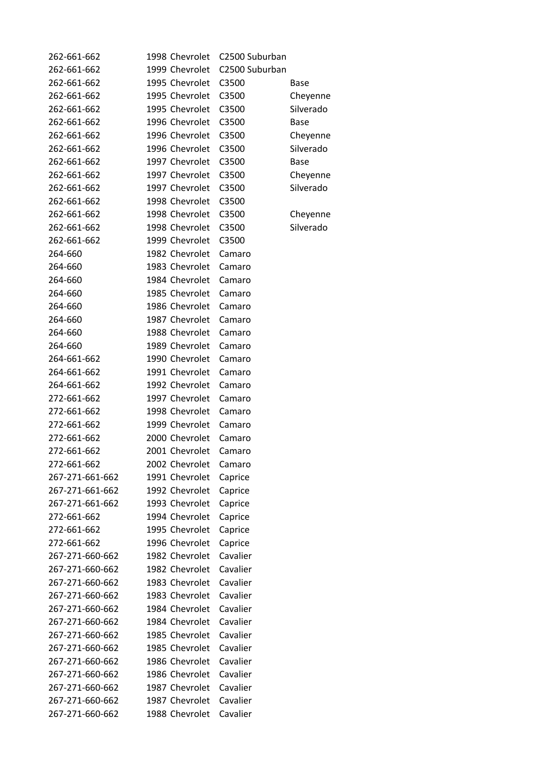| 262-661-662     | 1998 Chevrolet | C2500 Suburban |             |
|-----------------|----------------|----------------|-------------|
| 262-661-662     | 1999 Chevrolet | C2500 Suburban |             |
| 262-661-662     | 1995 Chevrolet | C3500          | Base        |
| 262-661-662     | 1995 Chevrolet | C3500          | Cheyenne    |
| 262-661-662     | 1995 Chevrolet | C3500          | Silverado   |
| 262-661-662     | 1996 Chevrolet | C3500          | <b>Base</b> |
| 262-661-662     | 1996 Chevrolet | C3500          | Cheyenne    |
| 262-661-662     | 1996 Chevrolet | C3500          | Silverado   |
| 262-661-662     | 1997 Chevrolet | C3500          | <b>Base</b> |
| 262-661-662     | 1997 Chevrolet | C3500          | Cheyenne    |
| 262-661-662     | 1997 Chevrolet | C3500          | Silverado   |
| 262-661-662     | 1998 Chevrolet | C3500          |             |
| 262-661-662     | 1998 Chevrolet | C3500          | Cheyenne    |
| 262-661-662     | 1998 Chevrolet | C3500          | Silverado   |
| 262-661-662     | 1999 Chevrolet | C3500          |             |
| 264-660         | 1982 Chevrolet | Camaro         |             |
| 264-660         | 1983 Chevrolet | Camaro         |             |
| 264-660         | 1984 Chevrolet | Camaro         |             |
| 264-660         | 1985 Chevrolet | Camaro         |             |
| 264-660         | 1986 Chevrolet |                |             |
| 264-660         | 1987 Chevrolet | Camaro         |             |
|                 |                | Camaro         |             |
| 264-660         | 1988 Chevrolet | Camaro         |             |
| 264-660         | 1989 Chevrolet | Camaro         |             |
| 264-661-662     | 1990 Chevrolet | Camaro         |             |
| 264-661-662     | 1991 Chevrolet | Camaro         |             |
| 264-661-662     | 1992 Chevrolet | Camaro         |             |
| 272-661-662     | 1997 Chevrolet | Camaro         |             |
| 272-661-662     | 1998 Chevrolet | Camaro         |             |
| 272-661-662     | 1999 Chevrolet | Camaro         |             |
| 272-661-662     | 2000 Chevrolet | Camaro         |             |
| 272-661-662     | 2001 Chevrolet | Camaro         |             |
| 272-661-662     | 2002 Chevrolet | Camaro         |             |
| 267-271-661-662 | 1991 Chevrolet | Caprice        |             |
| 267-271-661-662 | 1992 Chevrolet | Caprice        |             |
| 267-271-661-662 | 1993 Chevrolet | Caprice        |             |
| 272-661-662     | 1994 Chevrolet | Caprice        |             |
| 272-661-662     | 1995 Chevrolet | Caprice        |             |
| 272-661-662     | 1996 Chevrolet | Caprice        |             |
| 267-271-660-662 | 1982 Chevrolet | Cavalier       |             |
| 267-271-660-662 | 1982 Chevrolet | Cavalier       |             |
| 267-271-660-662 | 1983 Chevrolet | Cavalier       |             |
| 267-271-660-662 | 1983 Chevrolet | Cavalier       |             |
| 267-271-660-662 | 1984 Chevrolet | Cavalier       |             |
| 267-271-660-662 | 1984 Chevrolet | Cavalier       |             |
| 267-271-660-662 | 1985 Chevrolet | Cavalier       |             |
| 267-271-660-662 | 1985 Chevrolet | Cavalier       |             |
| 267-271-660-662 | 1986 Chevrolet | Cavalier       |             |
| 267-271-660-662 | 1986 Chevrolet | Cavalier       |             |
| 267-271-660-662 | 1987 Chevrolet | Cavalier       |             |
| 267-271-660-662 | 1987 Chevrolet | Cavalier       |             |
| 267-271-660-662 | 1988 Chevrolet | Cavalier       |             |
|                 |                |                |             |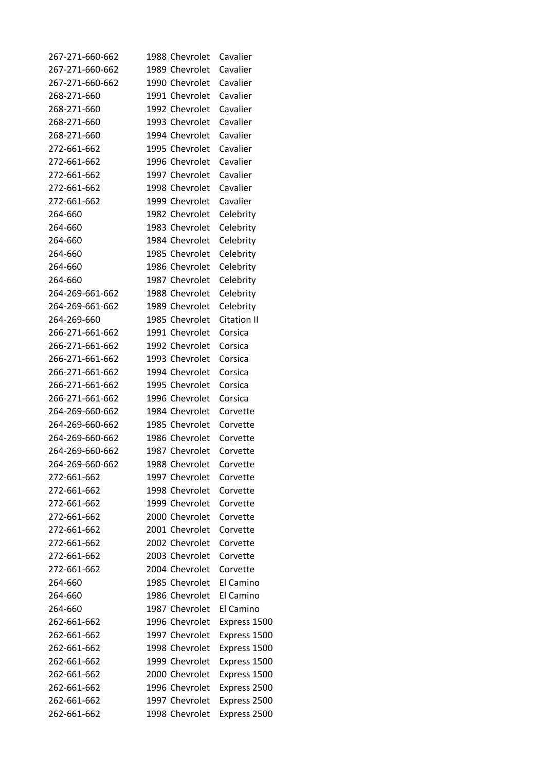| 267-271-660-662 | 1988 Chevrolet | Cavalier           |
|-----------------|----------------|--------------------|
| 267-271-660-662 | 1989 Chevrolet | Cavalier           |
| 267-271-660-662 | 1990 Chevrolet | Cavalier           |
| 268-271-660     | 1991 Chevrolet | Cavalier           |
| 268-271-660     | 1992 Chevrolet | Cavalier           |
| 268-271-660     | 1993 Chevrolet | Cavalier           |
| 268-271-660     | 1994 Chevrolet | Cavalier           |
| 272-661-662     | 1995 Chevrolet | Cavalier           |
| 272-661-662     | 1996 Chevrolet | Cavalier           |
| 272-661-662     | 1997 Chevrolet | Cavalier           |
| 272-661-662     | 1998 Chevrolet | Cavalier           |
| 272-661-662     | 1999 Chevrolet | Cavalier           |
| 264-660         | 1982 Chevrolet | Celebrity          |
| 264-660         | 1983 Chevrolet | Celebrity          |
| 264-660         | 1984 Chevrolet | Celebrity          |
| 264-660         | 1985 Chevrolet |                    |
|                 |                | Celebrity          |
| 264-660         | 1986 Chevrolet | Celebrity          |
| 264-660         | 1987 Chevrolet | Celebrity          |
| 264-269-661-662 | 1988 Chevrolet | Celebrity          |
| 264-269-661-662 | 1989 Chevrolet | Celebrity          |
| 264-269-660     | 1985 Chevrolet | <b>Citation II</b> |
| 266-271-661-662 | 1991 Chevrolet | Corsica            |
| 266-271-661-662 | 1992 Chevrolet | Corsica            |
| 266-271-661-662 | 1993 Chevrolet | Corsica            |
| 266-271-661-662 | 1994 Chevrolet | Corsica            |
| 266-271-661-662 | 1995 Chevrolet | Corsica            |
| 266-271-661-662 | 1996 Chevrolet | Corsica            |
| 264-269-660-662 | 1984 Chevrolet | Corvette           |
| 264-269-660-662 | 1985 Chevrolet | Corvette           |
| 264-269-660-662 | 1986 Chevrolet | Corvette           |
| 264-269-660-662 | 1987 Chevrolet | Corvette           |
| 264-269-660-662 | 1988 Chevrolet | Corvette           |
| 272-661-662     | 1997 Chevrolet | Corvette           |
| 272-661-662     | 1998 Chevrolet | Corvette           |
| 272-661-662     | 1999 Chevrolet | Corvette           |
| 272-661-662     | 2000 Chevrolet | Corvette           |
| 272-661-662     | 2001 Chevrolet | Corvette           |
| 272-661-662     | 2002 Chevrolet | Corvette           |
| 272-661-662     | 2003 Chevrolet | Corvette           |
| 272-661-662     | 2004 Chevrolet | Corvette           |
| 264-660         | 1985 Chevrolet | El Camino          |
| 264-660         | 1986 Chevrolet | El Camino          |
| 264-660         | 1987 Chevrolet | El Camino          |
| 262-661-662     | 1996 Chevrolet | Express 1500       |
| 262-661-662     | 1997 Chevrolet | Express 1500       |
| 262-661-662     | 1998 Chevrolet | Express 1500       |
| 262-661-662     | 1999 Chevrolet | Express 1500       |
| 262-661-662     | 2000 Chevrolet | Express 1500       |
| 262-661-662     | 1996 Chevrolet | Express 2500       |
| 262-661-662     | 1997 Chevrolet |                    |
|                 |                | Express 2500       |
| 262-661-662     | 1998 Chevrolet | Express 2500       |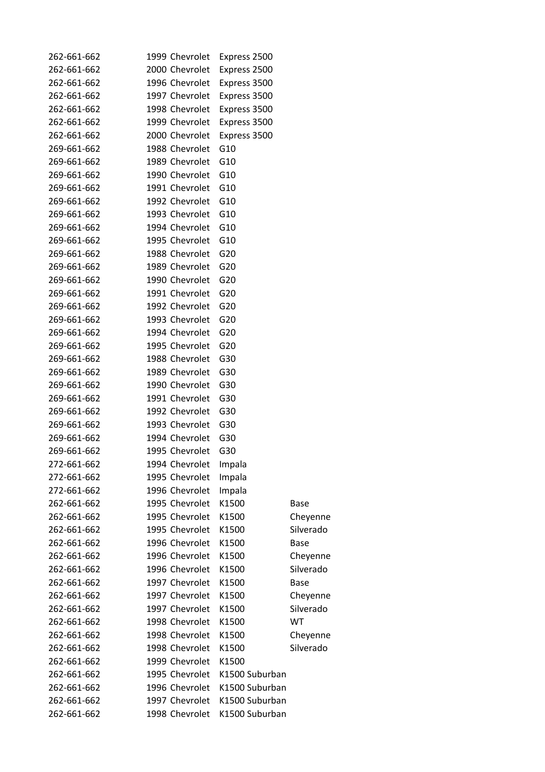| 262-661-662 | 1999 Chevrolet | Express 2500    |                       |
|-------------|----------------|-----------------|-----------------------|
| 262-661-662 | 2000 Chevrolet | Express 2500    |                       |
| 262-661-662 | 1996 Chevrolet | Express 3500    |                       |
| 262-661-662 | 1997 Chevrolet | Express 3500    |                       |
| 262-661-662 | 1998 Chevrolet | Express 3500    |                       |
| 262-661-662 | 1999 Chevrolet | Express 3500    |                       |
| 262-661-662 | 2000 Chevrolet | Express 3500    |                       |
| 269-661-662 | 1988 Chevrolet | G <sub>10</sub> |                       |
| 269-661-662 | 1989 Chevrolet | G10             |                       |
| 269-661-662 | 1990 Chevrolet | G10             |                       |
| 269-661-662 | 1991 Chevrolet | G <sub>10</sub> |                       |
| 269-661-662 | 1992 Chevrolet | G10             |                       |
| 269-661-662 | 1993 Chevrolet | G10             |                       |
| 269-661-662 | 1994 Chevrolet | G10             |                       |
| 269-661-662 | 1995 Chevrolet | G10             |                       |
| 269-661-662 | 1988 Chevrolet | G20             |                       |
| 269-661-662 | 1989 Chevrolet | G20             |                       |
| 269-661-662 | 1990 Chevrolet | G20             |                       |
| 269-661-662 | 1991 Chevrolet | G20             |                       |
| 269-661-662 | 1992 Chevrolet | G20             |                       |
| 269-661-662 | 1993 Chevrolet | G <sub>20</sub> |                       |
| 269-661-662 | 1994 Chevrolet | G20             |                       |
| 269-661-662 | 1995 Chevrolet | G <sub>20</sub> |                       |
| 269-661-662 | 1988 Chevrolet | G30             |                       |
| 269-661-662 | 1989 Chevrolet | G30             |                       |
| 269-661-662 | 1990 Chevrolet | G30             |                       |
| 269-661-662 | 1991 Chevrolet | G30             |                       |
| 269-661-662 | 1992 Chevrolet | G30             |                       |
| 269-661-662 | 1993 Chevrolet | G30             |                       |
| 269-661-662 | 1994 Chevrolet | G30             |                       |
| 269-661-662 | 1995 Chevrolet | G30             |                       |
| 272-661-662 | 1994 Chevrolet | Impala          |                       |
| 272-661-662 | 1995 Chevrolet | Impala          |                       |
| 272-661-662 | 1996 Chevrolet | Impala          |                       |
| 262-661-662 | 1995 Chevrolet | K1500           | Base                  |
| 262-661-662 | 1995 Chevrolet | K1500           |                       |
| 262-661-662 | 1995 Chevrolet | K1500           | Cheyenne<br>Silverado |
| 262-661-662 | 1996 Chevrolet | K1500           | <b>Base</b>           |
| 262-661-662 | 1996 Chevrolet | K1500           |                       |
| 262-661-662 | 1996 Chevrolet | K1500           | Cheyenne<br>Silverado |
| 262-661-662 | 1997 Chevrolet | K1500           |                       |
| 262-661-662 | 1997 Chevrolet | K1500           | <b>Base</b>           |
|             |                |                 | Cheyenne              |
| 262-661-662 | 1997 Chevrolet | K1500           | Silverado             |
| 262-661-662 | 1998 Chevrolet | K1500           | WT                    |
| 262-661-662 | 1998 Chevrolet | K1500           | Cheyenne              |
| 262-661-662 | 1998 Chevrolet | K1500           | Silverado             |
| 262-661-662 | 1999 Chevrolet | K1500           |                       |
| 262-661-662 | 1995 Chevrolet | K1500 Suburban  |                       |
| 262-661-662 | 1996 Chevrolet | K1500 Suburban  |                       |
| 262-661-662 | 1997 Chevrolet | K1500 Suburban  |                       |
| 262-661-662 | 1998 Chevrolet | K1500 Suburban  |                       |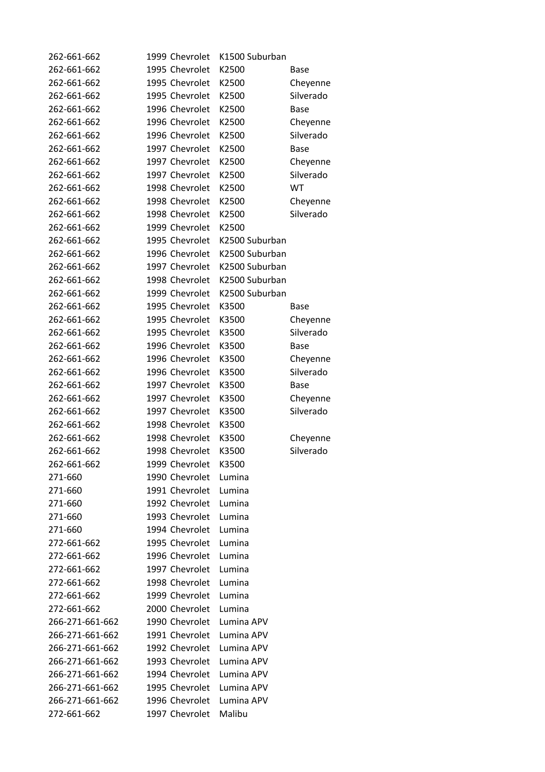| 262-661-662     | 1999 Chevrolet | K1500 Suburban |             |
|-----------------|----------------|----------------|-------------|
| 262-661-662     | 1995 Chevrolet | K2500          | Base        |
| 262-661-662     | 1995 Chevrolet | K2500          | Cheyenne    |
| 262-661-662     | 1995 Chevrolet | K2500          | Silverado   |
| 262-661-662     | 1996 Chevrolet | K2500          | <b>Base</b> |
| 262-661-662     | 1996 Chevrolet | K2500          | Cheyenne    |
| 262-661-662     | 1996 Chevrolet | K2500          | Silverado   |
| 262-661-662     | 1997 Chevrolet | K2500          | <b>Base</b> |
| 262-661-662     | 1997 Chevrolet | K2500          | Cheyenne    |
| 262-661-662     | 1997 Chevrolet | K2500          | Silverado   |
| 262-661-662     | 1998 Chevrolet | K2500          | WT          |
| 262-661-662     | 1998 Chevrolet | K2500          | Cheyenne    |
| 262-661-662     | 1998 Chevrolet | K2500          | Silverado   |
| 262-661-662     | 1999 Chevrolet | K2500          |             |
| 262-661-662     | 1995 Chevrolet | K2500 Suburban |             |
| 262-661-662     | 1996 Chevrolet | K2500 Suburban |             |
| 262-661-662     | 1997 Chevrolet | K2500 Suburban |             |
| 262-661-662     | 1998 Chevrolet | K2500 Suburban |             |
| 262-661-662     | 1999 Chevrolet | K2500 Suburban |             |
| 262-661-662     | 1995 Chevrolet | K3500          | Base        |
| 262-661-662     | 1995 Chevrolet | K3500          | Cheyenne    |
| 262-661-662     | 1995 Chevrolet | K3500          | Silverado   |
| 262-661-662     | 1996 Chevrolet | K3500          | <b>Base</b> |
| 262-661-662     | 1996 Chevrolet | K3500          | Cheyenne    |
| 262-661-662     | 1996 Chevrolet | K3500          | Silverado   |
| 262-661-662     | 1997 Chevrolet | K3500          | <b>Base</b> |
| 262-661-662     | 1997 Chevrolet | K3500          | Cheyenne    |
| 262-661-662     | 1997 Chevrolet | K3500          | Silverado   |
| 262-661-662     | 1998 Chevrolet | K3500          |             |
| 262-661-662     | 1998 Chevrolet | K3500          | Cheyenne    |
| 262-661-662     | 1998 Chevrolet | K3500          | Silverado   |
| 262-661-662     | 1999 Chevrolet | K3500          |             |
| 271-660         | 1990 Chevrolet | Lumina         |             |
| 271-660         | 1991 Chevrolet | Lumina         |             |
| 271-660         | 1992 Chevrolet | Lumina         |             |
| 271-660         | 1993 Chevrolet | Lumina         |             |
| 271-660         | 1994 Chevrolet | Lumina         |             |
| 272-661-662     | 1995 Chevrolet | Lumina         |             |
| 272-661-662     | 1996 Chevrolet | Lumina         |             |
| 272-661-662     | 1997 Chevrolet | Lumina         |             |
| 272-661-662     | 1998 Chevrolet | Lumina         |             |
| 272-661-662     | 1999 Chevrolet | Lumina         |             |
| 272-661-662     | 2000 Chevrolet | Lumina         |             |
| 266-271-661-662 | 1990 Chevrolet | Lumina APV     |             |
| 266-271-661-662 | 1991 Chevrolet | Lumina APV     |             |
| 266-271-661-662 | 1992 Chevrolet | Lumina APV     |             |
| 266-271-661-662 | 1993 Chevrolet | Lumina APV     |             |
| 266-271-661-662 | 1994 Chevrolet | Lumina APV     |             |
| 266-271-661-662 | 1995 Chevrolet | Lumina APV     |             |
| 266-271-661-662 | 1996 Chevrolet | Lumina APV     |             |
| 272-661-662     | 1997 Chevrolet | Malibu         |             |
|                 |                |                |             |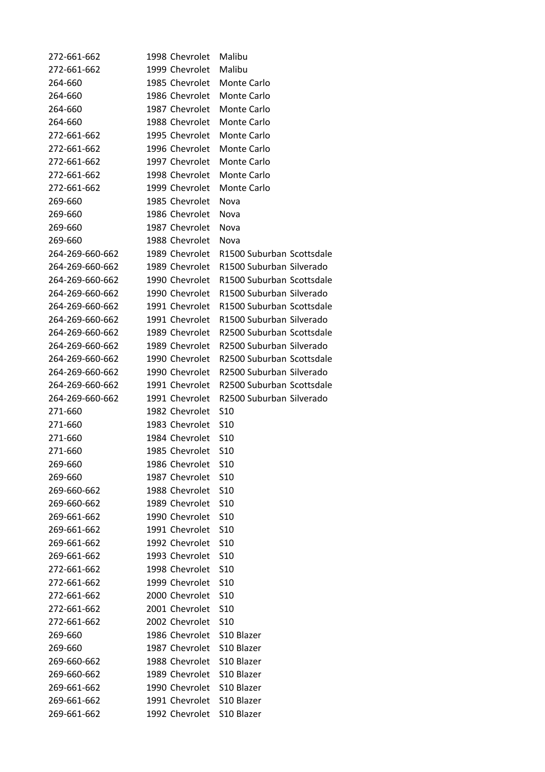| 272-661-662     | 1998 Chevrolet     | Malibu                    |
|-----------------|--------------------|---------------------------|
| 272-661-662     | 1999 Chevrolet     | Malibu                    |
| 264-660         | 1985 Chevrolet     | Monte Carlo               |
| 264-660         | 1986 Chevrolet     | Monte Carlo               |
| 264-660         | 1987 Chevrolet     | Monte Carlo               |
| 264-660         | 1988 Chevrolet     | Monte Carlo               |
| 272-661-662     | 1995 Chevrolet     | Monte Carlo               |
| 272-661-662     | 1996 Chevrolet     | <b>Monte Carlo</b>        |
| 272-661-662     | 1997 Chevrolet     | Monte Carlo               |
| 272-661-662     | 1998 Chevrolet     | Monte Carlo               |
| 272-661-662     | 1999 Chevrolet     | Monte Carlo               |
| 269-660         | 1985 Chevrolet     | Nova                      |
| 269-660         | 1986 Chevrolet     | Nova                      |
| 269-660         | 1987 Chevrolet     | Nova                      |
| 269-660         | 1988 Chevrolet     | Nova                      |
| 264-269-660-662 | 1989 Chevrolet     | R1500 Suburban Scottsdale |
| 264-269-660-662 | 1989 Chevrolet     | R1500 Suburban Silverado  |
| 264-269-660-662 | 1990 Chevrolet     | R1500 Suburban Scottsdale |
| 264-269-660-662 | 1990 Chevrolet     | R1500 Suburban Silverado  |
| 264-269-660-662 | 1991 Chevrolet     | R1500 Suburban Scottsdale |
|                 | 1991 Chevrolet     | R1500 Suburban Silverado  |
| 264-269-660-662 |                    |                           |
| 264-269-660-662 | 1989 Chevrolet     | R2500 Suburban Scottsdale |
| 264-269-660-662 | 1989 Chevrolet     | R2500 Suburban Silverado  |
| 264-269-660-662 | 1990 Chevrolet     | R2500 Suburban Scottsdale |
| 264-269-660-662 | 1990 Chevrolet     | R2500 Suburban Silverado  |
| 264-269-660-662 | 1991 Chevrolet     | R2500 Suburban Scottsdale |
| 264-269-660-662 | 1991 Chevrolet     | R2500 Suburban Silverado  |
| 271-660         | 1982 Chevrolet     | S <sub>10</sub>           |
| 271-660         | 1983 Chevrolet     | S <sub>10</sub>           |
| 271-660         | 1984 Chevrolet     | S <sub>10</sub>           |
| 271-660         | 1985 Chevrolet     | S <sub>10</sub>           |
| 269-660         | 1986 Chevrolet S10 |                           |
| 269-660         | 1987 Chevrolet     | S <sub>10</sub>           |
| 269-660-662     | 1988 Chevrolet     | S <sub>10</sub>           |
| 269-660-662     | 1989 Chevrolet     | S <sub>10</sub>           |
| 269-661-662     | 1990 Chevrolet     | S <sub>10</sub>           |
| 269-661-662     | 1991 Chevrolet     | S <sub>10</sub>           |
| 269-661-662     | 1992 Chevrolet     | S <sub>10</sub>           |
| 269-661-662     | 1993 Chevrolet     | S <sub>10</sub>           |
| 272-661-662     | 1998 Chevrolet     | S <sub>10</sub>           |
| 272-661-662     | 1999 Chevrolet     | S <sub>10</sub>           |
| 272-661-662     | 2000 Chevrolet     | S <sub>10</sub>           |
| 272-661-662     | 2001 Chevrolet     | S <sub>10</sub>           |
| 272-661-662     | 2002 Chevrolet     | S <sub>10</sub>           |
| 269-660         | 1986 Chevrolet     | S <sub>10</sub> Blazer    |
| 269-660         | 1987 Chevrolet     | S10 Blazer                |
| 269-660-662     | 1988 Chevrolet     | S10 Blazer                |
| 269-660-662     | 1989 Chevrolet     | S10 Blazer                |
| 269-661-662     | 1990 Chevrolet     | S10 Blazer                |
| 269-661-662     | 1991 Chevrolet     | S <sub>10</sub> Blazer    |
| 269-661-662     | 1992 Chevrolet     | S10 Blazer                |
|                 |                    |                           |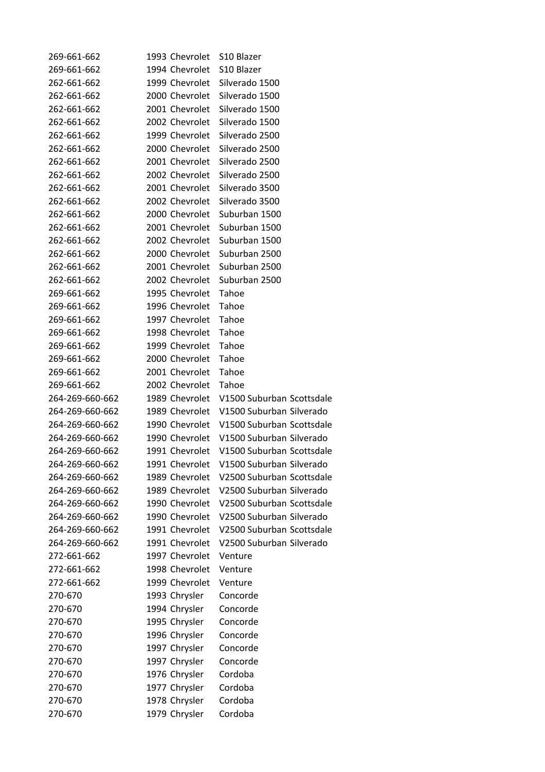| 269-661-662     | 1993 Chevrolet | S <sub>10</sub> Blazer                  |
|-----------------|----------------|-----------------------------------------|
| 269-661-662     | 1994 Chevrolet | S10 Blazer                              |
| 262-661-662     | 1999 Chevrolet | Silverado 1500                          |
| 262-661-662     | 2000 Chevrolet | Silverado 1500                          |
| 262-661-662     | 2001 Chevrolet | Silverado 1500                          |
| 262-661-662     | 2002 Chevrolet | Silverado 1500                          |
| 262-661-662     | 1999 Chevrolet | Silverado 2500                          |
| 262-661-662     | 2000 Chevrolet | Silverado 2500                          |
| 262-661-662     | 2001 Chevrolet | Silverado 2500                          |
| 262-661-662     | 2002 Chevrolet | Silverado 2500                          |
| 262-661-662     | 2001 Chevrolet | Silverado 3500                          |
| 262-661-662     | 2002 Chevrolet | Silverado 3500                          |
| 262-661-662     | 2000 Chevrolet | Suburban 1500                           |
| 262-661-662     | 2001 Chevrolet | Suburban 1500                           |
| 262-661-662     | 2002 Chevrolet | Suburban 1500                           |
| 262-661-662     | 2000 Chevrolet | Suburban 2500                           |
| 262-661-662     | 2001 Chevrolet | Suburban 2500                           |
| 262-661-662     | 2002 Chevrolet | Suburban 2500                           |
| 269-661-662     | 1995 Chevrolet | Tahoe                                   |
| 269-661-662     | 1996 Chevrolet | Tahoe                                   |
| 269-661-662     | 1997 Chevrolet | Tahoe                                   |
| 269-661-662     | 1998 Chevrolet | Tahoe                                   |
| 269-661-662     | 1999 Chevrolet | Tahoe                                   |
| 269-661-662     | 2000 Chevrolet | Tahoe                                   |
| 269-661-662     | 2001 Chevrolet | Tahoe                                   |
| 269-661-662     | 2002 Chevrolet | Tahoe                                   |
| 264-269-660-662 | 1989 Chevrolet | V1500 Suburban Scottsdale               |
| 264-269-660-662 | 1989 Chevrolet | V1500 Suburban Silverado                |
| 264-269-660-662 | 1990 Chevrolet | V1500 Suburban Scottsdale               |
| 264-269-660-662 | 1990 Chevrolet | V1500 Suburban Silverado                |
| 264-269-660-662 | 1991 Chevrolet | V1500 Suburban Scottsdale               |
| 264-269-660-662 |                | 1991 Chevrolet V1500 Suburban Silverado |
| 264-269-660-662 | 1989 Chevrolet | V2500 Suburban Scottsdale               |
| 264-269-660-662 | 1989 Chevrolet | V2500 Suburban Silverado                |
| 264-269-660-662 | 1990 Chevrolet | V2500 Suburban Scottsdale               |
| 264-269-660-662 | 1990 Chevrolet | V2500 Suburban Silverado                |
| 264-269-660-662 | 1991 Chevrolet | V2500 Suburban Scottsdale               |
| 264-269-660-662 | 1991 Chevrolet | V2500 Suburban Silverado                |
| 272-661-662     | 1997 Chevrolet | Venture                                 |
| 272-661-662     | 1998 Chevrolet | Venture                                 |
| 272-661-662     | 1999 Chevrolet | Venture                                 |
| 270-670         | 1993 Chrysler  | Concorde                                |
| 270-670         | 1994 Chrysler  | Concorde                                |
| 270-670         | 1995 Chrysler  | Concorde                                |
| 270-670         | 1996 Chrysler  | Concorde                                |
| 270-670         | 1997 Chrysler  | Concorde                                |
| 270-670         | 1997 Chrysler  | Concorde                                |
| 270-670         | 1976 Chrysler  | Cordoba                                 |
| 270-670         | 1977 Chrysler  | Cordoba                                 |
| 270-670         | 1978 Chrysler  | Cordoba                                 |
| 270-670         | 1979 Chrysler  | Cordoba                                 |
|                 |                |                                         |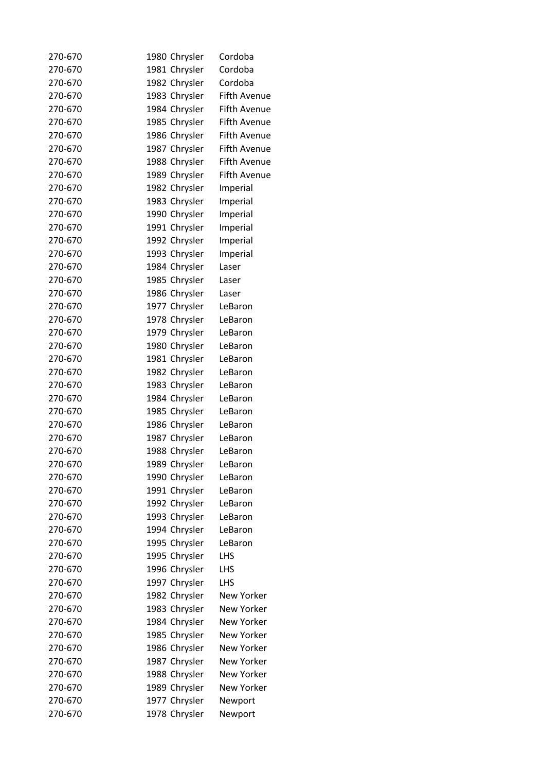| 270-670 | 1980 Chrysler | Cordoba             |
|---------|---------------|---------------------|
| 270-670 | 1981 Chrysler | Cordoba             |
| 270-670 | 1982 Chrysler | Cordoba             |
| 270-670 | 1983 Chrysler | <b>Fifth Avenue</b> |
| 270-670 | 1984 Chrysler | <b>Fifth Avenue</b> |
| 270-670 | 1985 Chrysler | <b>Fifth Avenue</b> |
| 270-670 | 1986 Chrysler | <b>Fifth Avenue</b> |
| 270-670 | 1987 Chrysler | <b>Fifth Avenue</b> |
| 270-670 | 1988 Chrysler | <b>Fifth Avenue</b> |
| 270-670 | 1989 Chrysler | <b>Fifth Avenue</b> |
| 270-670 | 1982 Chrysler | Imperial            |
| 270-670 | 1983 Chrysler | Imperial            |
| 270-670 | 1990 Chrysler | Imperial            |
| 270-670 | 1991 Chrysler | Imperial            |
| 270-670 | 1992 Chrysler | Imperial            |
| 270-670 | 1993 Chrysler | Imperial            |
| 270-670 | 1984 Chrysler | Laser               |
| 270-670 | 1985 Chrysler | Laser               |
| 270-670 | 1986 Chrysler | Laser               |
| 270-670 | 1977 Chrysler | LeBaron             |
| 270-670 | 1978 Chrysler | LeBaron             |
| 270-670 | 1979 Chrysler | LeBaron             |
| 270-670 | 1980 Chrysler | LeBaron             |
| 270-670 | 1981 Chrysler | LeBaron             |
| 270-670 | 1982 Chrysler | LeBaron             |
| 270-670 | 1983 Chrysler | LeBaron             |
| 270-670 | 1984 Chrysler | LeBaron             |
|         |               |                     |
| 270-670 | 1985 Chrysler | LeBaron             |
| 270-670 | 1986 Chrysler | LeBaron             |
| 270-670 | 1987 Chrysler | LeBaron             |
| 270-670 | 1988 Chrysler | LeBaron             |
| 270-670 | 1989 Chrysler | LeBaron             |
| 270-670 | 1990 Chrysler | LeBaron             |
| 270-670 | 1991 Chrysler | LeBaron             |
| 270-670 | 1992 Chrysler | LeBaron             |
| 270-670 | 1993 Chrysler | LeBaron             |
| 270-670 | 1994 Chrysler | LeBaron             |
| 270-670 | 1995 Chrysler | LeBaron             |
| 270-670 | 1995 Chrysler | LHS                 |
| 270-670 | 1996 Chrysler | LHS                 |
| 270-670 | 1997 Chrysler | LHS                 |
| 270-670 | 1982 Chrysler | New Yorker          |
| 270-670 | 1983 Chrysler | New Yorker          |
| 270-670 | 1984 Chrysler | <b>New Yorker</b>   |
| 270-670 | 1985 Chrysler | <b>New Yorker</b>   |
| 270-670 | 1986 Chrysler | New Yorker          |
| 270-670 | 1987 Chrysler | New Yorker          |
| 270-670 | 1988 Chrysler | New Yorker          |
| 270-670 | 1989 Chrysler | New Yorker          |
| 270-670 | 1977 Chrysler | Newport             |
| 270-670 | 1978 Chrysler | Newport             |
|         |               |                     |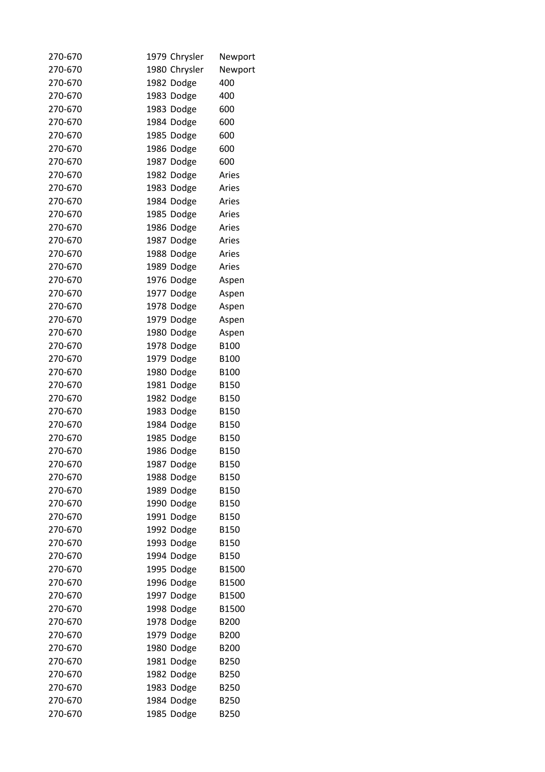| 270-670 | 1979 Chrysler | Newport          |
|---------|---------------|------------------|
| 270-670 | 1980 Chrysler | Newport          |
| 270-670 | 1982 Dodge    | 400              |
| 270-670 | 1983 Dodge    | 400              |
| 270-670 | 1983 Dodge    | 600              |
| 270-670 | 1984 Dodge    | 600              |
| 270-670 | 1985 Dodge    | 600              |
| 270-670 | 1986 Dodge    | 600              |
| 270-670 | 1987 Dodge    | 600              |
| 270-670 | 1982 Dodge    | Aries            |
| 270-670 | 1983 Dodge    | Aries            |
| 270-670 | 1984 Dodge    | Aries            |
| 270-670 | 1985 Dodge    | Aries            |
| 270-670 | 1986 Dodge    | Aries            |
| 270-670 | 1987 Dodge    | Aries            |
| 270-670 | 1988 Dodge    | Aries            |
| 270-670 | 1989 Dodge    | Aries            |
| 270-670 | 1976 Dodge    | Aspen            |
| 270-670 | 1977 Dodge    | Aspen            |
| 270-670 | 1978 Dodge    | Aspen            |
| 270-670 | 1979 Dodge    | Aspen            |
| 270-670 | 1980 Dodge    | Aspen            |
| 270-670 | 1978 Dodge    | B <sub>100</sub> |
| 270-670 | 1979 Dodge    | B100             |
| 270-670 | 1980 Dodge    | B100             |
| 270-670 | 1981 Dodge    | B150             |
| 270-670 | 1982 Dodge    | B150             |
| 270-670 | 1983 Dodge    | <b>B150</b>      |
| 270-670 | 1984 Dodge    | B150             |
| 270-670 | 1985 Dodge    | B150             |
| 270-670 | 1986 Dodge    | B150             |
| 270-670 | 1987 Dodge    | B150             |
| 270-670 | 1988 Dodge    | <b>B150</b>      |
| 270-670 | 1989 Dodge    | B150             |
| 270-670 | 1990 Dodge    | B150             |
| 270-670 | 1991 Dodge    | B150             |
| 270-670 | 1992 Dodge    | B150             |
| 270-670 | 1993 Dodge    | <b>B150</b>      |
| 270-670 | 1994 Dodge    | B150             |
| 270-670 | 1995 Dodge    | B1500            |
| 270-670 | 1996 Dodge    | B1500            |
| 270-670 | 1997 Dodge    | B1500            |
| 270-670 | 1998 Dodge    | B1500            |
| 270-670 | 1978 Dodge    | B <sub>200</sub> |
| 270-670 | 1979 Dodge    | B200             |
| 270-670 | 1980 Dodge    | B200             |
| 270-670 | 1981 Dodge    | B250             |
| 270-670 | 1982 Dodge    | B250             |
| 270-670 | 1983 Dodge    | B250             |
| 270-670 | 1984 Dodge    | B250             |
| 270-670 | 1985 Dodge    | B250             |
|         |               |                  |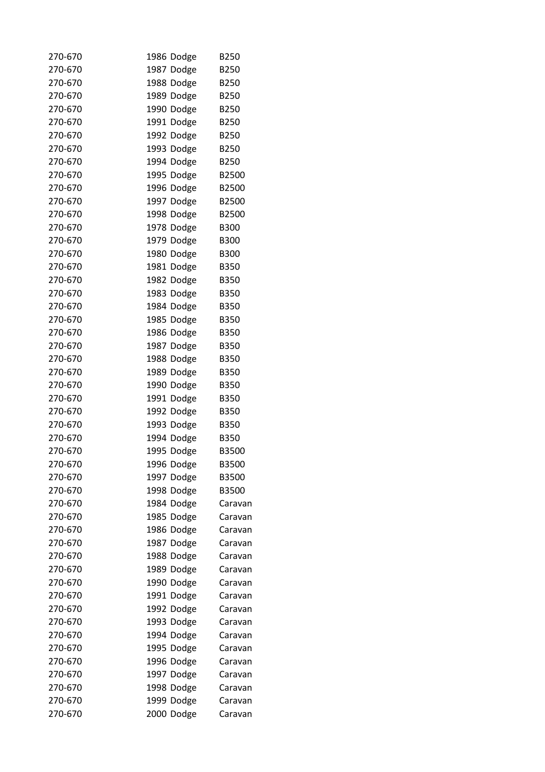| 270-670 | 1986 Dodge | <b>B250</b> |
|---------|------------|-------------|
| 270-670 | 1987 Dodge | B250        |
| 270-670 | 1988 Dodge | B250        |
| 270-670 | 1989 Dodge | B250        |
| 270-670 | 1990 Dodge | B250        |
| 270-670 | 1991 Dodge | B250        |
| 270-670 | 1992 Dodge | B250        |
| 270-670 | 1993 Dodge | B250        |
| 270-670 | 1994 Dodge | B250        |
| 270-670 | 1995 Dodge | B2500       |
| 270-670 | 1996 Dodge | B2500       |
| 270-670 | 1997 Dodge | B2500       |
| 270-670 | 1998 Dodge | B2500       |
| 270-670 | 1978 Dodge | <b>B300</b> |
| 270-670 | 1979 Dodge | <b>B300</b> |
| 270-670 | 1980 Dodge | <b>B300</b> |
| 270-670 | 1981 Dodge | <b>B350</b> |
| 270-670 | 1982 Dodge | B350        |
| 270-670 | 1983 Dodge | <b>B350</b> |
| 270-670 | 1984 Dodge | <b>B350</b> |
| 270-670 | 1985 Dodge | <b>B350</b> |
| 270-670 | 1986 Dodge | <b>B350</b> |
| 270-670 | 1987 Dodge | <b>B350</b> |
| 270-670 | 1988 Dodge | <b>B350</b> |
| 270-670 | 1989 Dodge | <b>B350</b> |
| 270-670 | 1990 Dodge | <b>B350</b> |
| 270-670 | 1991 Dodge | B350        |
| 270-670 | 1992 Dodge | <b>B350</b> |
| 270-670 | 1993 Dodge | <b>B350</b> |
| 270-670 | 1994 Dodge | <b>B350</b> |
| 270-670 | 1995 Dodge | B3500       |
| 270-670 | 1996 Dodge | B3500       |
| 270-670 | 1997 Dodge | B3500       |
|         |            |             |
| 270-670 | 1998 Dodge | B3500       |
| 270-670 | 1984 Dodge | Caravan     |
| 270-670 | 1985 Dodge | Caravan     |
| 270-670 | 1986 Dodge | Caravan     |
| 270-670 | 1987 Dodge | Caravan     |
| 270-670 | 1988 Dodge | Caravan     |
| 270-670 | 1989 Dodge | Caravan     |
| 270-670 | 1990 Dodge | Caravan     |
| 270-670 | 1991 Dodge | Caravan     |
| 270-670 | 1992 Dodge | Caravan     |
| 270-670 | 1993 Dodge | Caravan     |
| 270-670 | 1994 Dodge | Caravan     |
| 270-670 | 1995 Dodge | Caravan     |
| 270-670 | 1996 Dodge | Caravan     |
| 270-670 | 1997 Dodge | Caravan     |
| 270-670 | 1998 Dodge | Caravan     |
| 270-670 | 1999 Dodge | Caravan     |
| 270-670 | 2000 Dodge | Caravan     |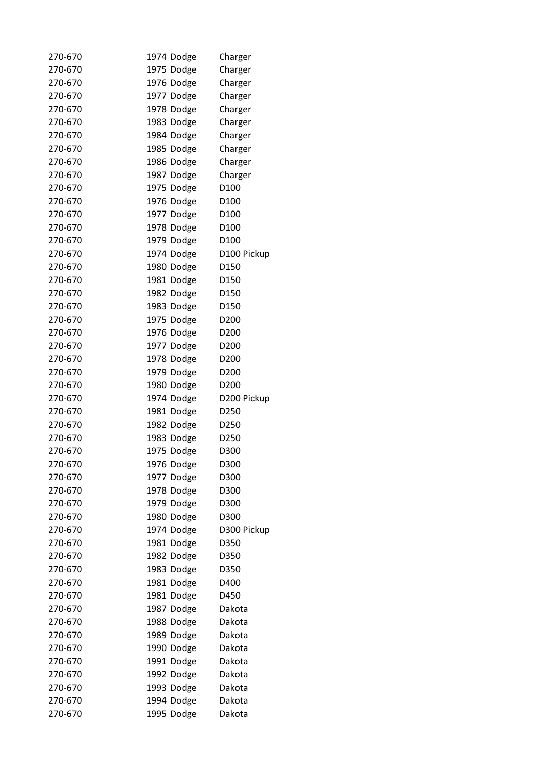| 270-670 | 1974 Dodge | Charger          |
|---------|------------|------------------|
| 270-670 | 1975 Dodge | Charger          |
| 270-670 | 1976 Dodge | Charger          |
| 270-670 | 1977 Dodge | Charger          |
| 270-670 | 1978 Dodge | Charger          |
| 270-670 | 1983 Dodge | Charger          |
| 270-670 | 1984 Dodge | Charger          |
| 270-670 | 1985 Dodge | Charger          |
| 270-670 | 1986 Dodge | Charger          |
| 270-670 | 1987 Dodge | Charger          |
| 270-670 | 1975 Dodge | D <sub>100</sub> |
| 270-670 | 1976 Dodge | D <sub>100</sub> |
| 270-670 | 1977 Dodge | D <sub>100</sub> |
| 270-670 | 1978 Dodge | D <sub>100</sub> |
| 270-670 | 1979 Dodge | D100             |
| 270-670 | 1974 Dodge | D100 Pickup      |
| 270-670 | 1980 Dodge | D <sub>150</sub> |
| 270-670 | 1981 Dodge | D150             |
| 270-670 | 1982 Dodge | D150             |
| 270-670 | 1983 Dodge | D150             |
| 270-670 | 1975 Dodge | D <sub>200</sub> |
| 270-670 | 1976 Dodge | D <sub>200</sub> |
| 270-670 | 1977 Dodge | D <sub>200</sub> |
| 270-670 | 1978 Dodge | D <sub>200</sub> |
| 270-670 | 1979 Dodge | D <sub>200</sub> |
| 270-670 |            | D <sub>200</sub> |
|         | 1980 Dodge |                  |
| 270-670 | 1974 Dodge | D200 Pickup      |
| 270-670 | 1981 Dodge | D <sub>250</sub> |
| 270-670 | 1982 Dodge | D <sub>250</sub> |
| 270-670 | 1983 Dodge | D <sub>250</sub> |
| 270-670 | 1975 Dodge | D300             |
| 270-670 | 1976 Dodge | D300             |
| 270-670 | 1977 Dodge | D300             |
| 270-670 | 1978 Dodge | D300             |
| 270-670 | 1979 Dodge | D300             |
| 270-670 | 1980 Dodge | D300             |
| 270-670 | 1974 Dodge | D300 Pickup      |
| 270-670 | 1981 Dodge | D350             |
| 270-670 | 1982 Dodge | D350             |
| 270-670 | 1983 Dodge | D350             |
| 270-670 | 1981 Dodge | D400             |
| 270-670 | 1981 Dodge | D450             |
| 270-670 | 1987 Dodge | Dakota           |
| 270-670 | 1988 Dodge | Dakota           |
| 270-670 | 1989 Dodge | Dakota           |
| 270-670 | 1990 Dodge | Dakota           |
| 270-670 | 1991 Dodge | Dakota           |
| 270-670 | 1992 Dodge | Dakota           |
| 270-670 | 1993 Dodge | Dakota           |
| 270-670 | 1994 Dodge | Dakota           |
| 270-670 | 1995 Dodge | Dakota           |
|         |            |                  |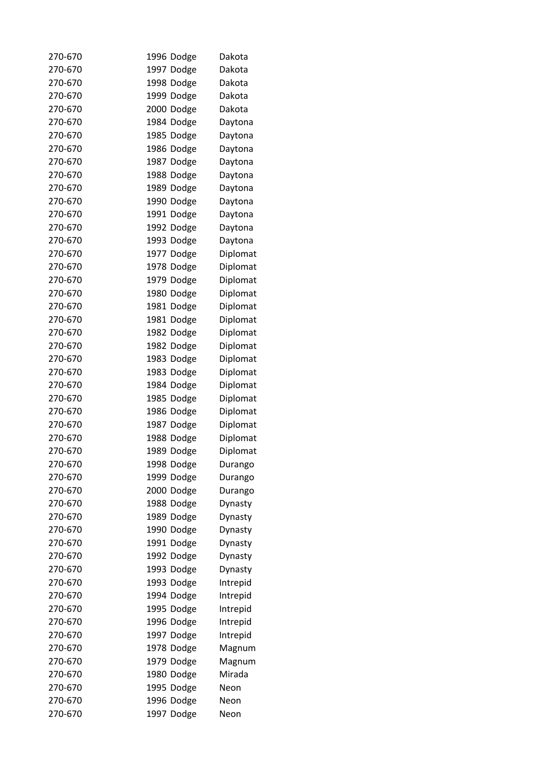| 270-670 | 1996 Dodge | Dakota   |
|---------|------------|----------|
| 270-670 | 1997 Dodge | Dakota   |
| 270-670 | 1998 Dodge | Dakota   |
| 270-670 | 1999 Dodge | Dakota   |
| 270-670 | 2000 Dodge | Dakota   |
| 270-670 | 1984 Dodge | Daytona  |
| 270-670 | 1985 Dodge | Daytona  |
| 270-670 | 1986 Dodge | Daytona  |
| 270-670 | 1987 Dodge | Daytona  |
| 270-670 | 1988 Dodge | Daytona  |
| 270-670 | 1989 Dodge | Daytona  |
| 270-670 | 1990 Dodge | Daytona  |
| 270-670 | 1991 Dodge | Daytona  |
| 270-670 | 1992 Dodge | Daytona  |
| 270-670 | 1993 Dodge | Daytona  |
| 270-670 | 1977 Dodge | Diplomat |
| 270-670 | 1978 Dodge | Diplomat |
| 270-670 | 1979 Dodge | Diplomat |
| 270-670 | 1980 Dodge | Diplomat |
| 270-670 | 1981 Dodge | Diplomat |
| 270-670 | 1981 Dodge | Diplomat |
| 270-670 | 1982 Dodge | Diplomat |
| 270-670 | 1982 Dodge | Diplomat |
| 270-670 | 1983 Dodge | Diplomat |
| 270-670 | 1983 Dodge | Diplomat |
| 270-670 | 1984 Dodge | Diplomat |
| 270-670 | 1985 Dodge | Diplomat |
| 270-670 | 1986 Dodge | Diplomat |
| 270-670 | 1987 Dodge | Diplomat |
| 270-670 | 1988 Dodge | Diplomat |
| 270-670 | 1989 Dodge | Diplomat |
| 270-670 | 1998 Dodge | Durango  |
| 270-670 | 1999 Dodge | Durango  |
| 270-670 | 2000 Dodge | Durango  |
| 270-670 | 1988 Dodge | Dynasty  |
| 270-670 | 1989 Dodge | Dynasty  |
| 270-670 | 1990 Dodge | Dynasty  |
| 270-670 | 1991 Dodge |          |
| 270-670 | 1992 Dodge | Dynasty  |
| 270-670 | 1993 Dodge | Dynasty  |
| 270-670 |            | Dynasty  |
| 270-670 | 1993 Dodge | Intrepid |
|         | 1994 Dodge | Intrepid |
| 270-670 | 1995 Dodge | Intrepid |
| 270-670 | 1996 Dodge | Intrepid |
| 270-670 | 1997 Dodge | Intrepid |
| 270-670 | 1978 Dodge | Magnum   |
| 270-670 | 1979 Dodge | Magnum   |
| 270-670 | 1980 Dodge | Mirada   |
| 270-670 | 1995 Dodge | Neon     |
| 270-670 | 1996 Dodge | Neon     |
| 270-670 | 1997 Dodge | Neon     |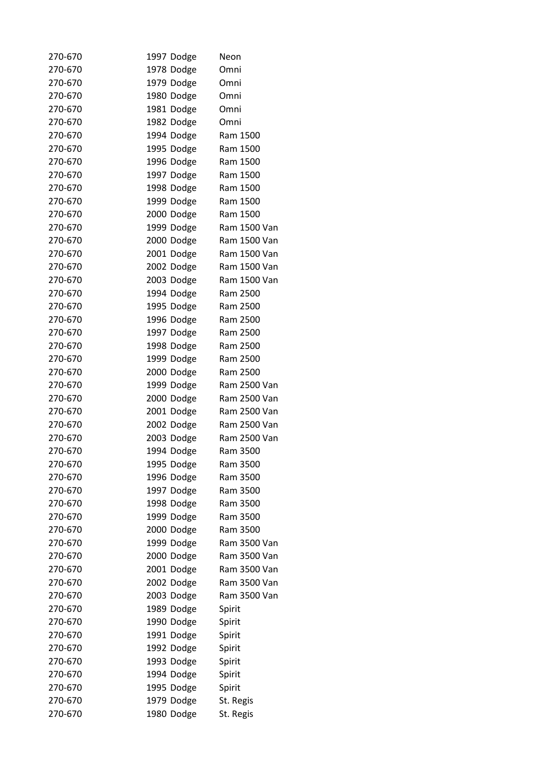| 270-670 | 1997 Dodge | Neon         |
|---------|------------|--------------|
| 270-670 | 1978 Dodge | Omni         |
| 270-670 | 1979 Dodge | Omni         |
| 270-670 | 1980 Dodge | Omni         |
| 270-670 | 1981 Dodge | Omni         |
| 270-670 | 1982 Dodge | Omni         |
| 270-670 | 1994 Dodge | Ram 1500     |
| 270-670 | 1995 Dodge | Ram 1500     |
| 270-670 | 1996 Dodge | Ram 1500     |
| 270-670 | 1997 Dodge | Ram 1500     |
| 270-670 | 1998 Dodge | Ram 1500     |
| 270-670 | 1999 Dodge | Ram 1500     |
| 270-670 | 2000 Dodge | Ram 1500     |
| 270-670 | 1999 Dodge | Ram 1500 Van |
| 270-670 | 2000 Dodge | Ram 1500 Van |
| 270-670 | 2001 Dodge | Ram 1500 Van |
| 270-670 | 2002 Dodge | Ram 1500 Van |
| 270-670 | 2003 Dodge | Ram 1500 Van |
| 270-670 | 1994 Dodge | Ram 2500     |
| 270-670 | 1995 Dodge | Ram 2500     |
| 270-670 | 1996 Dodge | Ram 2500     |
| 270-670 | 1997 Dodge | Ram 2500     |
| 270-670 | 1998 Dodge | Ram 2500     |
| 270-670 | 1999 Dodge | Ram 2500     |
| 270-670 | 2000 Dodge | Ram 2500     |
| 270-670 |            | Ram 2500 Van |
|         | 1999 Dodge | Ram 2500 Van |
| 270-670 | 2000 Dodge |              |
| 270-670 | 2001 Dodge | Ram 2500 Van |
| 270-670 | 2002 Dodge | Ram 2500 Van |
| 270-670 | 2003 Dodge | Ram 2500 Van |
| 270-670 | 1994 Dodge | Ram 3500     |
| 270-670 | 1995 Dodge | Ram 3500     |
| 270-670 | 1996 Dodge | Ram 3500     |
| 270-670 | 1997 Dodge | Ram 3500     |
| 270-670 | 1998 Dodge | Ram 3500     |
| 270-670 | 1999 Dodge | Ram 3500     |
| 270-670 | 2000 Dodge | Ram 3500     |
| 270-670 | 1999 Dodge | Ram 3500 Van |
| 270-670 | 2000 Dodge | Ram 3500 Van |
| 270-670 | 2001 Dodge | Ram 3500 Van |
| 270-670 | 2002 Dodge | Ram 3500 Van |
| 270-670 | 2003 Dodge | Ram 3500 Van |
| 270-670 | 1989 Dodge | Spirit       |
| 270-670 | 1990 Dodge | Spirit       |
| 270-670 | 1991 Dodge | Spirit       |
| 270-670 | 1992 Dodge | Spirit       |
| 270-670 | 1993 Dodge | Spirit       |
| 270-670 | 1994 Dodge | Spirit       |
| 270-670 | 1995 Dodge | Spirit       |
| 270-670 | 1979 Dodge | St. Regis    |
| 270-670 | 1980 Dodge | St. Regis    |
|         |            |              |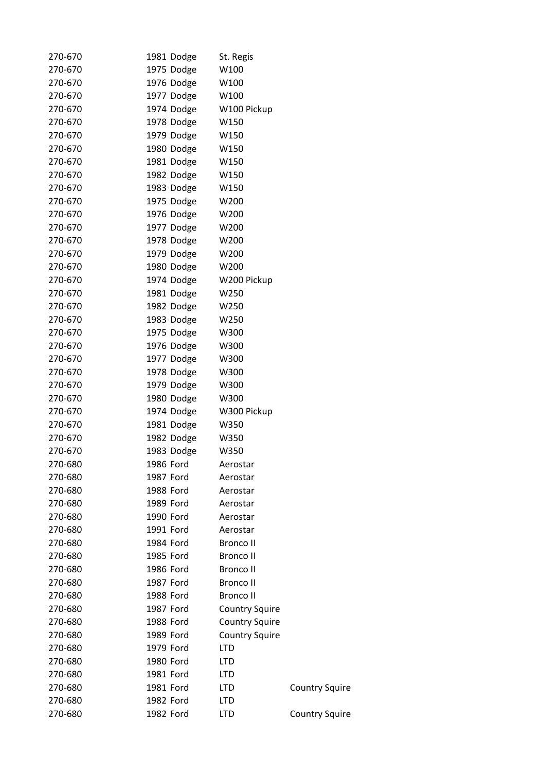| 270-670            | 1981 Dodge               | St. Regis             |                       |
|--------------------|--------------------------|-----------------------|-----------------------|
| 270-670            | 1975 Dodge               | W100                  |                       |
| 270-670            | 1976 Dodge               | W100                  |                       |
| 270-670            | 1977 Dodge               | W100                  |                       |
| 270-670            | 1974 Dodge               | W100 Pickup           |                       |
| 270-670            | 1978 Dodge               | W150                  |                       |
| 270-670            | 1979 Dodge               | W150                  |                       |
| 270-670            | 1980 Dodge               | W150                  |                       |
| 270-670            | 1981 Dodge               | W150                  |                       |
| 270-670            | 1982 Dodge               | W150                  |                       |
| 270-670            | 1983 Dodge               | W150                  |                       |
| 270-670            | 1975 Dodge               | W200                  |                       |
| 270-670            | 1976 Dodge               | W200                  |                       |
| 270-670            | 1977 Dodge               | W200                  |                       |
| 270-670            | 1978 Dodge               | W200                  |                       |
| 270-670            | 1979 Dodge               | W200                  |                       |
| 270-670            | 1980 Dodge               | W200                  |                       |
| 270-670            | 1974 Dodge               | W200 Pickup           |                       |
| 270-670            | 1981 Dodge               | W250                  |                       |
| 270-670            | 1982 Dodge               | W250                  |                       |
| 270-670            | 1983 Dodge               | W250                  |                       |
| 270-670            | 1975 Dodge               | W300                  |                       |
| 270-670            | 1976 Dodge               | W300                  |                       |
| 270-670            | 1977 Dodge               | W300                  |                       |
| 270-670            | 1978 Dodge               | W300                  |                       |
| 270-670            | 1979 Dodge               | W300                  |                       |
| 270-670            | 1980 Dodge               | W300                  |                       |
|                    |                          | W300 Pickup           |                       |
| 270-670<br>270-670 | 1974 Dodge               | W350                  |                       |
| 270-670            | 1981 Dodge<br>1982 Dodge |                       |                       |
|                    |                          | W350                  |                       |
| 270-670            | 1983 Dodge               | W350                  |                       |
| 270-680            | 1986 Ford                | Aerostar              |                       |
| 270-680            | 1987 Ford                | Aerostar              |                       |
| 270-680            | 1988 Ford                | Aerostar              |                       |
| 270-680            | 1989 Ford                | Aerostar              |                       |
| 270-680            | 1990 Ford                | Aerostar              |                       |
| 270-680            | 1991 Ford                | Aerostar              |                       |
| 270-680            | 1984 Ford                | <b>Bronco II</b>      |                       |
| 270-680            | 1985 Ford                | <b>Bronco II</b>      |                       |
| 270-680            | 1986 Ford                | <b>Bronco II</b>      |                       |
| 270-680            | 1987 Ford                | <b>Bronco II</b>      |                       |
| 270-680            | 1988 Ford                | <b>Bronco II</b>      |                       |
| 270-680            | 1987 Ford                | <b>Country Squire</b> |                       |
| 270-680            | 1988 Ford                | <b>Country Squire</b> |                       |
| 270-680            | 1989 Ford                | <b>Country Squire</b> |                       |
| 270-680            | 1979 Ford                | <b>LTD</b>            |                       |
| 270-680            | 1980 Ford                | <b>LTD</b>            |                       |
| 270-680            | 1981 Ford                | <b>LTD</b>            |                       |
| 270-680            | 1981 Ford                | <b>LTD</b>            | <b>Country Squire</b> |
| 270-680            | 1982 Ford                | <b>LTD</b>            |                       |
| 270-680            | 1982 Ford                | <b>LTD</b>            | <b>Country Squire</b> |
|                    |                          |                       |                       |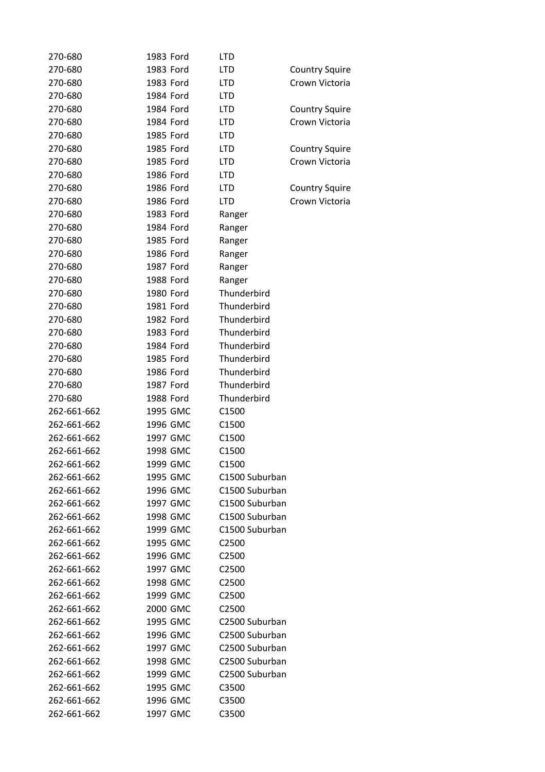| 270-680     | 1983 Ford | <b>LTD</b>        |                       |
|-------------|-----------|-------------------|-----------------------|
| 270-680     | 1983 Ford | <b>LTD</b>        | <b>Country Squire</b> |
| 270-680     | 1983 Ford | <b>LTD</b>        | Crown Victoria        |
| 270-680     | 1984 Ford | <b>LTD</b>        |                       |
| 270-680     | 1984 Ford | <b>LTD</b>        | <b>Country Squire</b> |
| 270-680     | 1984 Ford | <b>LTD</b>        | Crown Victoria        |
| 270-680     | 1985 Ford | LTD               |                       |
| 270-680     | 1985 Ford | <b>LTD</b>        | <b>Country Squire</b> |
| 270-680     | 1985 Ford | <b>LTD</b>        | Crown Victoria        |
| 270-680     | 1986 Ford | LTD               |                       |
| 270-680     | 1986 Ford | <b>LTD</b>        | <b>Country Squire</b> |
| 270-680     | 1986 Ford | <b>LTD</b>        | Crown Victoria        |
| 270-680     | 1983 Ford | Ranger            |                       |
| 270-680     | 1984 Ford | Ranger            |                       |
| 270-680     | 1985 Ford | Ranger            |                       |
| 270-680     | 1986 Ford | Ranger            |                       |
| 270-680     | 1987 Ford | Ranger            |                       |
| 270-680     | 1988 Ford | Ranger            |                       |
| 270-680     | 1980 Ford | Thunderbird       |                       |
| 270-680     | 1981 Ford | Thunderbird       |                       |
| 270-680     | 1982 Ford | Thunderbird       |                       |
| 270-680     | 1983 Ford | Thunderbird       |                       |
| 270-680     | 1984 Ford | Thunderbird       |                       |
| 270-680     | 1985 Ford | Thunderbird       |                       |
| 270-680     | 1986 Ford | Thunderbird       |                       |
| 270-680     | 1987 Ford | Thunderbird       |                       |
| 270-680     | 1988 Ford | Thunderbird       |                       |
| 262-661-662 | 1995 GMC  | C1500             |                       |
| 262-661-662 | 1996 GMC  | C1500             |                       |
| 262-661-662 | 1997 GMC  | C1500             |                       |
| 262-661-662 | 1998 GMC  | C1500             |                       |
| 262-661-662 | 1999 GMC  | C1500             |                       |
| 262-661-662 | 1995 GMC  | C1500 Suburban    |                       |
| 262-661-662 | 1996 GMC  | C1500 Suburban    |                       |
| 262-661-662 | 1997 GMC  | C1500 Suburban    |                       |
| 262-661-662 | 1998 GMC  | C1500 Suburban    |                       |
| 262-661-662 | 1999 GMC  | C1500 Suburban    |                       |
| 262-661-662 | 1995 GMC  | C <sub>2500</sub> |                       |
| 262-661-662 | 1996 GMC  | C <sub>2500</sub> |                       |
| 262-661-662 | 1997 GMC  | C <sub>2500</sub> |                       |
| 262-661-662 | 1998 GMC  | C <sub>2500</sub> |                       |
| 262-661-662 | 1999 GMC  | C <sub>2500</sub> |                       |
| 262-661-662 | 2000 GMC  | C2500             |                       |
| 262-661-662 | 1995 GMC  | C2500 Suburban    |                       |
| 262-661-662 | 1996 GMC  | C2500 Suburban    |                       |
| 262-661-662 | 1997 GMC  | C2500 Suburban    |                       |
| 262-661-662 | 1998 GMC  | C2500 Suburban    |                       |
| 262-661-662 | 1999 GMC  | C2500 Suburban    |                       |
| 262-661-662 | 1995 GMC  | C3500             |                       |
| 262-661-662 | 1996 GMC  | C3500             |                       |
| 262-661-662 | 1997 GMC  | C3500             |                       |
|             |           |                   |                       |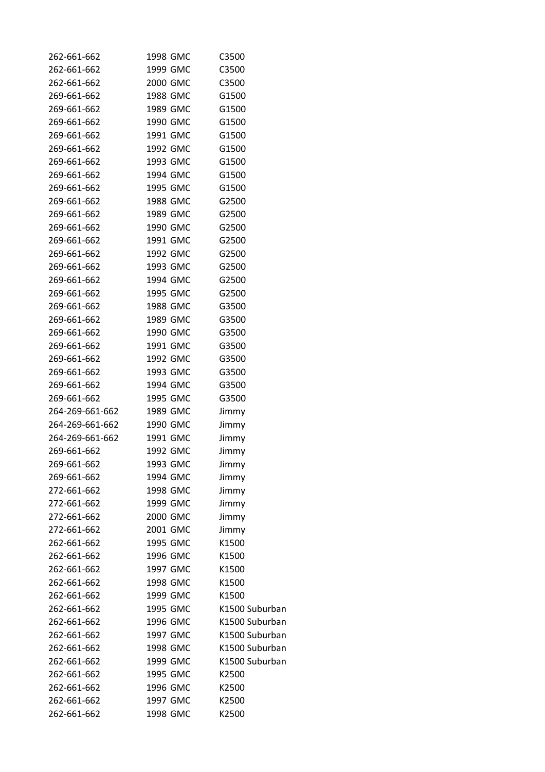| 262-661-662     | 1998 GMC | C3500          |
|-----------------|----------|----------------|
| 262-661-662     | 1999 GMC | C3500          |
| 262-661-662     | 2000 GMC | C3500          |
| 269-661-662     | 1988 GMC | G1500          |
| 269-661-662     | 1989 GMC | G1500          |
| 269-661-662     | 1990 GMC | G1500          |
| 269-661-662     | 1991 GMC | G1500          |
| 269-661-662     | 1992 GMC | G1500          |
| 269-661-662     | 1993 GMC | G1500          |
| 269-661-662     | 1994 GMC | G1500          |
| 269-661-662     | 1995 GMC | G1500          |
| 269-661-662     | 1988 GMC | G2500          |
| 269-661-662     | 1989 GMC | G2500          |
| 269-661-662     | 1990 GMC | G2500          |
| 269-661-662     | 1991 GMC | G2500          |
| 269-661-662     | 1992 GMC | G2500          |
| 269-661-662     | 1993 GMC | G2500          |
| 269-661-662     | 1994 GMC | G2500          |
| 269-661-662     | 1995 GMC | G2500          |
| 269-661-662     | 1988 GMC | G3500          |
| 269-661-662     | 1989 GMC | G3500          |
| 269-661-662     | 1990 GMC | G3500          |
| 269-661-662     | 1991 GMC | G3500          |
| 269-661-662     | 1992 GMC | G3500          |
| 269-661-662     | 1993 GMC | G3500          |
| 269-661-662     | 1994 GMC | G3500          |
| 269-661-662     | 1995 GMC | G3500          |
| 264-269-661-662 | 1989 GMC | Jimmy          |
| 264-269-661-662 | 1990 GMC |                |
| 264-269-661-662 | 1991 GMC | Jimmy          |
|                 |          | Jimmy          |
| 269-661-662     | 1992 GMC | Jimmy          |
| 269-661-662     | 1993 GMC | Jimmy          |
| 269-661-662     | 1994 GMC | Jimmy          |
| 272-661-662     | 1998 GMC | Jimmy          |
| 272-661-662     | 1999 GMC | Jimmy          |
| 272-661-662     | 2000 GMC | Jimmy          |
| 272-661-662     | 2001 GMC | Jimmy          |
| 262-661-662     | 1995 GMC | K1500          |
| 262-661-662     | 1996 GMC | K1500          |
| 262-661-662     | 1997 GMC | K1500          |
| 262-661-662     | 1998 GMC | K1500          |
| 262-661-662     | 1999 GMC | K1500          |
| 262-661-662     | 1995 GMC | K1500 Suburban |
| 262-661-662     | 1996 GMC | K1500 Suburban |
| 262-661-662     | 1997 GMC | K1500 Suburban |
| 262-661-662     | 1998 GMC | K1500 Suburban |
| 262-661-662     | 1999 GMC | K1500 Suburban |
| 262-661-662     | 1995 GMC | K2500          |
| 262-661-662     | 1996 GMC | K2500          |
| 262-661-662     | 1997 GMC | K2500          |
| 262-661-662     | 1998 GMC | K2500          |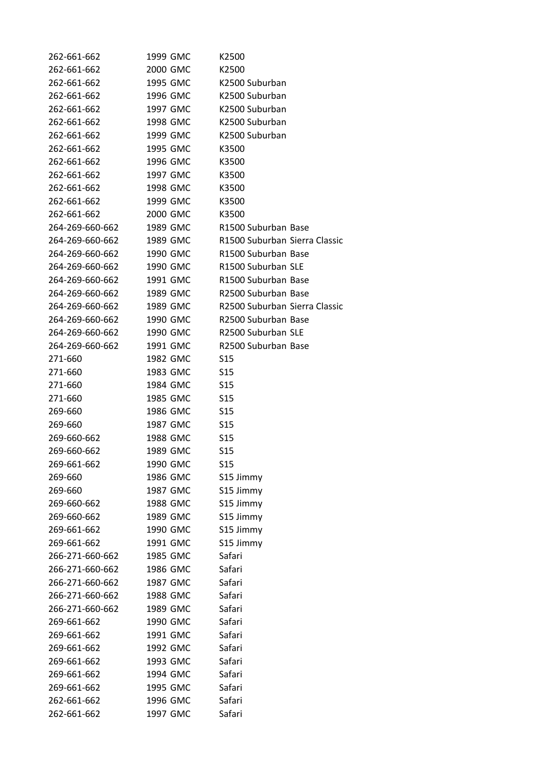| 262-661-662     | 1999 GMC | K2500                         |
|-----------------|----------|-------------------------------|
| 262-661-662     | 2000 GMC | K2500                         |
| 262-661-662     | 1995 GMC | K2500 Suburban                |
| 262-661-662     | 1996 GMC | K2500 Suburban                |
| 262-661-662     | 1997 GMC | K2500 Suburban                |
| 262-661-662     | 1998 GMC | K2500 Suburban                |
| 262-661-662     | 1999 GMC | K2500 Suburban                |
| 262-661-662     | 1995 GMC | K3500                         |
| 262-661-662     | 1996 GMC | K3500                         |
| 262-661-662     | 1997 GMC | K3500                         |
| 262-661-662     | 1998 GMC | K3500                         |
| 262-661-662     | 1999 GMC | K3500                         |
| 262-661-662     | 2000 GMC | K3500                         |
| 264-269-660-662 | 1989 GMC | R1500 Suburban Base           |
| 264-269-660-662 | 1989 GMC | R1500 Suburban Sierra Classic |
| 264-269-660-662 | 1990 GMC | R1500 Suburban Base           |
| 264-269-660-662 | 1990 GMC | R1500 Suburban SLE            |
| 264-269-660-662 | 1991 GMC | R1500 Suburban Base           |
| 264-269-660-662 | 1989 GMC | R2500 Suburban Base           |
| 264-269-660-662 | 1989 GMC | R2500 Suburban Sierra Classic |
| 264-269-660-662 | 1990 GMC | R2500 Suburban Base           |
| 264-269-660-662 | 1990 GMC | R2500 Suburban SLE            |
| 264-269-660-662 | 1991 GMC | R2500 Suburban Base           |
| 271-660         | 1982 GMC | S <sub>15</sub>               |
| 271-660         | 1983 GMC | S <sub>15</sub>               |
| 271-660         | 1984 GMC | S <sub>15</sub>               |
| 271-660         | 1985 GMC | S <sub>15</sub>               |
| 269-660         | 1986 GMC | S <sub>15</sub>               |
| 269-660         | 1987 GMC | S <sub>15</sub>               |
| 269-660-662     | 1988 GMC | S <sub>15</sub>               |
| 269-660-662     | 1989 GMC | <b>S15</b>                    |
| 269-661-662     | 1990 GMC | <b>S15</b>                    |
| 269-660         | 1986 GMC | S15 Jimmy                     |
| 269-660         | 1987 GMC | S15 Jimmy                     |
| 269-660-662     | 1988 GMC |                               |
| 269-660-662     | 1989 GMC | S15 Jimmy<br>S15 Jimmy        |
| 269-661-662     | 1990 GMC |                               |
| 269-661-662     | 1991 GMC | S15 Jimmy<br>S15 Jimmy        |
| 266-271-660-662 | 1985 GMC | Safari                        |
| 266-271-660-662 | 1986 GMC | Safari                        |
| 266-271-660-662 | 1987 GMC | Safari                        |
| 266-271-660-662 |          | Safari                        |
|                 | 1988 GMC |                               |
| 266-271-660-662 | 1989 GMC | Safari                        |
| 269-661-662     | 1990 GMC | Safari                        |
| 269-661-662     | 1991 GMC | Safari                        |
| 269-661-662     | 1992 GMC | Safari                        |
| 269-661-662     | 1993 GMC | Safari                        |
| 269-661-662     | 1994 GMC | Safari                        |
| 269-661-662     | 1995 GMC | Safari                        |
| 262-661-662     | 1996 GMC | Safari                        |
| 262-661-662     | 1997 GMC | Safari                        |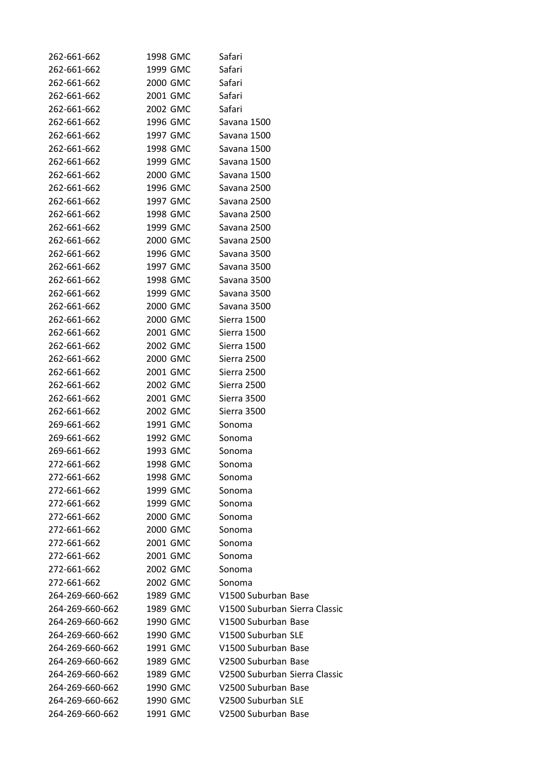| 262-661-662                    | 1998 GMC             | Safari                        |
|--------------------------------|----------------------|-------------------------------|
| 262-661-662                    | 1999 GMC             | Safari                        |
| 262-661-662                    | 2000 GMC             | Safari                        |
| 262-661-662                    | 2001 GMC             | Safari                        |
| 262-661-662                    | 2002 GMC             | Safari                        |
| 262-661-662                    | 1996 GMC             | Savana 1500                   |
| 262-661-662                    | 1997 GMC             | Savana 1500                   |
| 262-661-662                    | 1998 GMC             | Savana 1500                   |
| 262-661-662                    | 1999 GMC             | Savana 1500                   |
| 262-661-662                    | 2000 GMC             | Savana 1500                   |
| 262-661-662                    | 1996 GMC             | Savana 2500                   |
| 262-661-662                    | 1997 GMC             | Savana 2500                   |
| 262-661-662                    | 1998 GMC             | Savana 2500                   |
| 262-661-662                    | 1999 GMC             | Savana 2500                   |
| 262-661-662                    | 2000 GMC             | Savana 2500                   |
| 262-661-662                    | 1996 GMC             | Savana 3500                   |
| 262-661-662                    | 1997 GMC             | Savana 3500                   |
| 262-661-662                    | 1998 GMC             | Savana 3500                   |
| 262-661-662                    | 1999 GMC             | Savana 3500                   |
| 262-661-662                    | 2000 GMC             | Savana 3500                   |
| 262-661-662                    | 2000 GMC             | Sierra 1500                   |
| 262-661-662                    | 2001 GMC             | Sierra 1500                   |
| 262-661-662                    | 2002 GMC             | Sierra 1500                   |
| 262-661-662                    | 2000 GMC             | Sierra 2500                   |
| 262-661-662                    | 2001 GMC             | Sierra 2500                   |
| 262-661-662                    | 2002 GMC             | Sierra 2500                   |
| 262-661-662                    | 2001 GMC             | Sierra 3500                   |
| 262-661-662                    | 2002 GMC             | Sierra 3500                   |
| 269-661-662                    | 1991 GMC             | Sonoma                        |
| 269-661-662                    | 1992 GMC             | Sonoma                        |
| 269-661-662                    | 1993 GMC             | Sonoma                        |
| 272-661-662                    | 1998 GMC             | Sonoma                        |
| 272-661-662                    | 1998 GMC             | Sonoma                        |
| 272-661-662                    | 1999 GMC             | Sonoma                        |
| 272-661-662                    | 1999 GMC             | Sonoma                        |
| 272-661-662                    | 2000 GMC             | Sonoma                        |
| 272-661-662                    | 2000 GMC             | Sonoma                        |
| 272-661-662                    | 2001 GMC             | Sonoma                        |
| 272-661-662                    | 2001 GMC             |                               |
|                                | 2002 GMC             | Sonoma<br>Sonoma              |
| 272-661-662                    |                      |                               |
| 272-661-662<br>264-269-660-662 | 2002 GMC<br>1989 GMC | Sonoma<br>V1500 Suburban Base |
|                                |                      |                               |
| 264-269-660-662                | 1989 GMC             | V1500 Suburban Sierra Classic |
| 264-269-660-662                | 1990 GMC             | V1500 Suburban Base           |
| 264-269-660-662                | 1990 GMC             | V1500 Suburban SLE            |
| 264-269-660-662                | 1991 GMC             | V1500 Suburban Base           |
| 264-269-660-662                | 1989 GMC             | V2500 Suburban Base           |
| 264-269-660-662                | 1989 GMC             | V2500 Suburban Sierra Classic |
| 264-269-660-662                | 1990 GMC             | V2500 Suburban Base           |
| 264-269-660-662                | 1990 GMC             | V2500 Suburban SLE            |
| 264-269-660-662                | 1991 GMC             | V2500 Suburban Base           |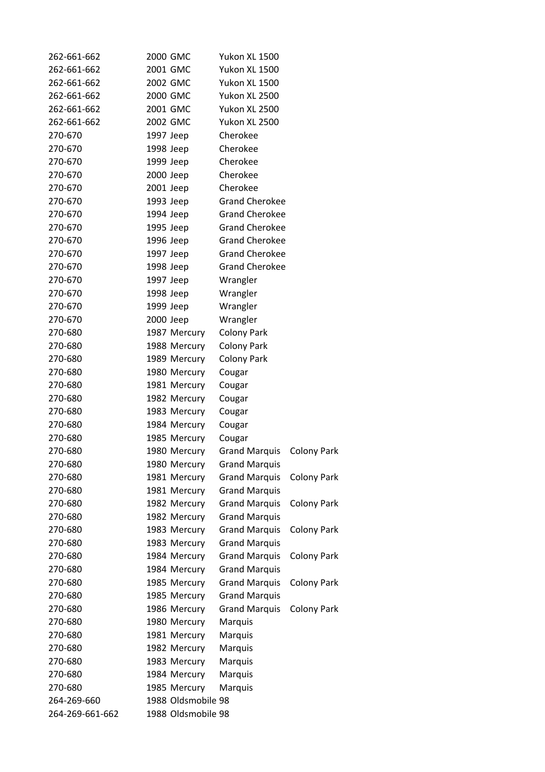| 262-661-662     | 2000 GMC  |                    | Yukon XL 1500         |                    |
|-----------------|-----------|--------------------|-----------------------|--------------------|
| 262-661-662     | 2001 GMC  |                    | <b>Yukon XL 1500</b>  |                    |
| 262-661-662     |           | 2002 GMC           | <b>Yukon XL 1500</b>  |                    |
| 262-661-662     | 2000 GMC  |                    | Yukon XL 2500         |                    |
| 262-661-662     | 2001 GMC  |                    | Yukon XL 2500         |                    |
| 262-661-662     | 2002 GMC  |                    | Yukon XL 2500         |                    |
| 270-670         | 1997 Jeep |                    | Cherokee              |                    |
| 270-670         | 1998 Jeep |                    | Cherokee              |                    |
| 270-670         | 1999 Jeep |                    | Cherokee              |                    |
| 270-670         | 2000 Jeep |                    | Cherokee              |                    |
| 270-670         | 2001 Jeep |                    | Cherokee              |                    |
| 270-670         | 1993 Jeep |                    | <b>Grand Cherokee</b> |                    |
| 270-670         | 1994 Jeep |                    | <b>Grand Cherokee</b> |                    |
| 270-670         | 1995 Jeep |                    | <b>Grand Cherokee</b> |                    |
| 270-670         | 1996 Jeep |                    | <b>Grand Cherokee</b> |                    |
| 270-670         | 1997 Jeep |                    | <b>Grand Cherokee</b> |                    |
| 270-670         | 1998 Jeep |                    | <b>Grand Cherokee</b> |                    |
| 270-670         | 1997 Jeep |                    | Wrangler              |                    |
| 270-670         | 1998 Jeep |                    | Wrangler              |                    |
| 270-670         | 1999 Jeep |                    | Wrangler              |                    |
| 270-670         | 2000 Jeep |                    | Wrangler              |                    |
| 270-680         |           | 1987 Mercury       | <b>Colony Park</b>    |                    |
| 270-680         |           | 1988 Mercury       | <b>Colony Park</b>    |                    |
| 270-680         |           | 1989 Mercury       | <b>Colony Park</b>    |                    |
| 270-680         |           | 1980 Mercury       | Cougar                |                    |
| 270-680         |           | 1981 Mercury       | Cougar                |                    |
| 270-680         |           | 1982 Mercury       | Cougar                |                    |
| 270-680         |           | 1983 Mercury       | Cougar                |                    |
| 270-680         |           | 1984 Mercury       | Cougar                |                    |
| 270-680         |           | 1985 Mercury       | Cougar                |                    |
| 270-680         |           | 1980 Mercury       | <b>Grand Marquis</b>  | Colony Park        |
| 270-680         |           | 1980 Mercury       | <b>Grand Marquis</b>  |                    |
| 270-680         |           | 1981 Mercury       | <b>Grand Marquis</b>  | <b>Colony Park</b> |
| 270-680         |           | 1981 Mercury       | <b>Grand Marquis</b>  |                    |
| 270-680         |           | 1982 Mercury       | <b>Grand Marquis</b>  | <b>Colony Park</b> |
| 270-680         |           | 1982 Mercury       | <b>Grand Marquis</b>  |                    |
| 270-680         |           | 1983 Mercury       | <b>Grand Marquis</b>  | <b>Colony Park</b> |
| 270-680         |           | 1983 Mercury       | <b>Grand Marquis</b>  |                    |
| 270-680         |           | 1984 Mercury       | <b>Grand Marquis</b>  | <b>Colony Park</b> |
| 270-680         |           | 1984 Mercury       | <b>Grand Marquis</b>  |                    |
| 270-680         |           | 1985 Mercury       | <b>Grand Marquis</b>  | <b>Colony Park</b> |
| 270-680         |           | 1985 Mercury       | <b>Grand Marquis</b>  |                    |
| 270-680         |           | 1986 Mercury       | <b>Grand Marquis</b>  | <b>Colony Park</b> |
| 270-680         |           | 1980 Mercury       | Marquis               |                    |
| 270-680         |           | 1981 Mercury       | Marquis               |                    |
| 270-680         |           | 1982 Mercury       | Marquis               |                    |
| 270-680         |           | 1983 Mercury       | Marquis               |                    |
| 270-680         |           | 1984 Mercury       | Marquis               |                    |
| 270-680         |           | 1985 Mercury       | Marquis               |                    |
| 264-269-660     |           | 1988 Oldsmobile 98 |                       |                    |
| 264-269-661-662 |           | 1988 Oldsmobile 98 |                       |                    |
|                 |           |                    |                       |                    |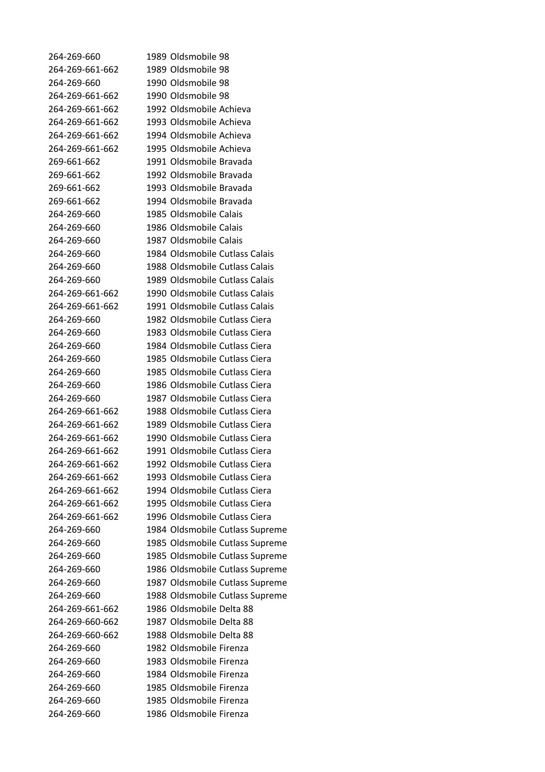264‐269‐660 1989 Oldsmobile 98 264‐269‐661‐662 1989 Oldsmobile 98 264‐269‐660 1990 Oldsmobile 98 264‐269‐661‐662 1990 Oldsmobile 98 264‐269‐661‐662 1992 Oldsmobile Achieva 264‐269‐661‐662 1993 Oldsmobile Achieva 264‐269‐661‐662 1994 Oldsmobile Achieva 264‐269‐661‐662 1995 Oldsmobile Achieva 269‐661‐662 1991 Oldsmobile Bravada 269‐661‐662 1992 Oldsmobile Bravada 269‐661‐662 1993 Oldsmobile Bravada 269‐661‐662 1994 Oldsmobile Bravada 264‐269‐660 1985 Oldsmobile Calais 264‐269‐660 1986 Oldsmobile Calais 264‐269‐660 1987 Oldsmobile Calais 264‐269‐660 1984 Oldsmobile Cutlass Calais 264‐269‐660 1988 Oldsmobile Cutlass Calais 264‐269‐660 1989 Oldsmobile Cutlass Calais 264‐269‐661‐662 1990 Oldsmobile Cutlass Calais 264‐269‐661‐662 1991 Oldsmobile Cutlass Calais 264‐269‐660 1982 Oldsmobile Cutlass Ciera 264‐269‐660 1983 Oldsmobile Cutlass Ciera 264‐269‐660 1984 Oldsmobile Cutlass Ciera 264‐269‐660 1985 Oldsmobile Cutlass Ciera 264‐269‐660 1985 Oldsmobile Cutlass Ciera 264‐269‐660 1986 Oldsmobile Cutlass Ciera 264‐269‐660 1987 Oldsmobile Cutlass Ciera 264‐269‐661‐662 1988 Oldsmobile Cutlass Ciera 264‐269‐661‐662 1989 Oldsmobile Cutlass Ciera 264‐269‐661‐662 1990 Oldsmobile Cutlass Ciera 264‐269‐661‐662 1991 Oldsmobile Cutlass Ciera 264‐269‐661‐662 1992 Oldsmobile Cutlass Ciera 264‐269‐661‐662 1993 Oldsmobile Cutlass Ciera 264‐269‐661‐662 1994 Oldsmobile Cutlass Ciera 264‐269‐661‐662 1995 Oldsmobile Cutlass Ciera 264‐269‐661‐662 1996 Oldsmobile Cutlass Ciera 264‐269‐660 1984 Oldsmobile Cutlass Supreme 264‐269‐660 1985 Oldsmobile Cutlass Supreme 264‐269‐660 1985 Oldsmobile Cutlass Supreme 264‐269‐660 1986 Oldsmobile Cutlass Supreme 264‐269‐660 1987 Oldsmobile Cutlass Supreme 264‐269‐660 1988 Oldsmobile Cutlass Supreme 264‐269‐661‐662 1986 Oldsmobile Delta 88 264‐269‐660‐662 1987 Oldsmobile Delta 88 264‐269‐660‐662 1988 Oldsmobile Delta 88 264‐269‐660 1982 Oldsmobile Firenza 264‐269‐660 1983 Oldsmobile Firenza 264‐269‐660 1984 Oldsmobile Firenza 264‐269‐660 1985 Oldsmobile Firenza 264‐269‐660 1985 Oldsmobile Firenza 264‐269‐660 1986 Oldsmobile Firenza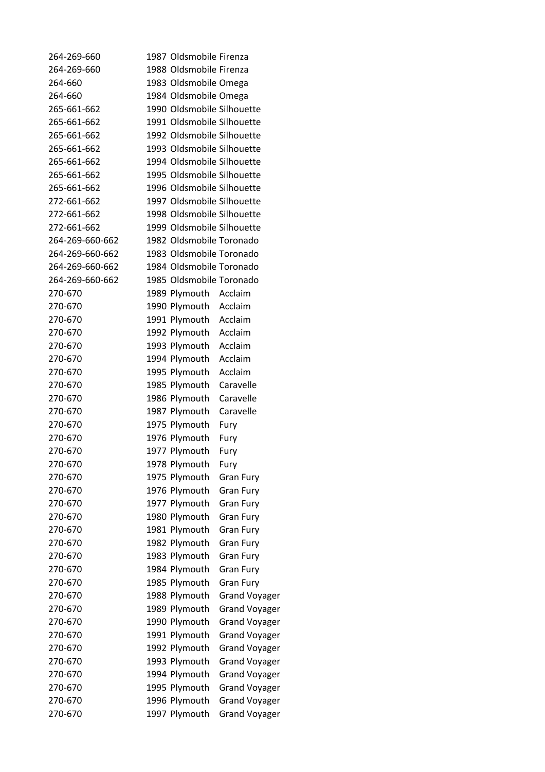| 264-269-660        | 1987 Oldsmobile Firenza        |                      |
|--------------------|--------------------------------|----------------------|
| 264-269-660        | 1988 Oldsmobile Firenza        |                      |
| 264-660            | 1983 Oldsmobile Omega          |                      |
| 264-660            | 1984 Oldsmobile Omega          |                      |
| 265-661-662        | 1990 Oldsmobile Silhouette     |                      |
| 265-661-662        | 1991 Oldsmobile Silhouette     |                      |
| 265-661-662        | 1992 Oldsmobile Silhouette     |                      |
| 265-661-662        | 1993 Oldsmobile Silhouette     |                      |
| 265-661-662        | 1994 Oldsmobile Silhouette     |                      |
| 265-661-662        | 1995 Oldsmobile Silhouette     |                      |
| 265-661-662        | 1996 Oldsmobile Silhouette     |                      |
| 272-661-662        | 1997 Oldsmobile Silhouette     |                      |
| 272-661-662        | 1998 Oldsmobile Silhouette     |                      |
| 272-661-662        | 1999 Oldsmobile Silhouette     |                      |
| 264-269-660-662    | 1982 Oldsmobile Toronado       |                      |
| 264-269-660-662    | 1983 Oldsmobile Toronado       |                      |
| 264-269-660-662    | 1984 Oldsmobile Toronado       |                      |
| 264-269-660-662    | 1985 Oldsmobile Toronado       |                      |
| 270-670            | 1989 Plymouth Acclaim          |                      |
| 270-670            | 1990 Plymouth Acclaim          |                      |
| 270-670            | 1991 Plymouth Acclaim          |                      |
| 270-670            | 1992 Plymouth Acclaim          |                      |
| 270-670            | 1993 Plymouth Acclaim          |                      |
| 270-670            | 1994 Plymouth Acclaim          |                      |
| 270-670            | 1995 Plymouth                  | Acclaim              |
| 270-670            | 1985 Plymouth                  | Caravelle            |
| 270-670            | 1986 Plymouth Caravelle        |                      |
| 270-670            | 1987 Plymouth                  | Caravelle            |
| 270-670            | 1975 Plymouth                  | Fury                 |
| 270-670            | 1976 Plymouth                  | Fury                 |
| 270-670            | 1977 Plymouth                  | Fury                 |
| 270-670            | 1978 Plymouth                  | Fury                 |
| 270-670            | 1975 Plymouth                  | <b>Gran Fury</b>     |
| 270-670            | 1976 Plymouth                  | <b>Gran Fury</b>     |
| 270-670            | 1977 Plymouth                  | <b>Gran Fury</b>     |
| 270-670            | 1980 Plymouth                  | <b>Gran Fury</b>     |
| 270-670            | 1981 Plymouth                  | <b>Gran Fury</b>     |
| 270-670            | 1982 Plymouth                  | <b>Gran Fury</b>     |
| 270-670            | 1983 Plymouth                  | <b>Gran Fury</b>     |
| 270-670            | 1984 Plymouth                  | <b>Gran Fury</b>     |
| 270-670            | 1985 Plymouth                  | <b>Gran Fury</b>     |
| 270-670            | 1988 Plymouth                  | <b>Grand Voyager</b> |
| 270-670            | 1989 Plymouth                  | <b>Grand Voyager</b> |
| 270-670            | 1990 Plymouth                  | <b>Grand Voyager</b> |
| 270-670            |                                |                      |
| 270-670            | 1991 Plymouth<br>1992 Plymouth | <b>Grand Voyager</b> |
| 270-670            |                                | <b>Grand Voyager</b> |
| 270-670            | 1993 Plymouth                  | <b>Grand Voyager</b> |
|                    | 1994 Plymouth                  | <b>Grand Voyager</b> |
| 270-670<br>270-670 | 1995 Plymouth                  | <b>Grand Voyager</b> |
|                    | 1996 Plymouth                  | <b>Grand Voyager</b> |
| 270-670            | 1997 Plymouth                  | <b>Grand Voyager</b> |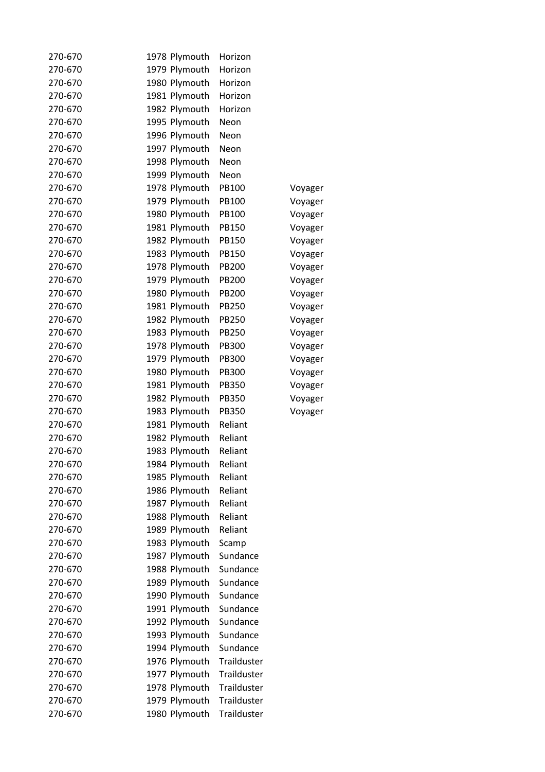| 270-670 | 1978 Plymouth | Horizon      |         |
|---------|---------------|--------------|---------|
| 270-670 | 1979 Plymouth | Horizon      |         |
| 270-670 | 1980 Plymouth | Horizon      |         |
| 270-670 | 1981 Plymouth | Horizon      |         |
| 270-670 | 1982 Plymouth | Horizon      |         |
| 270-670 | 1995 Plymouth | Neon         |         |
| 270-670 | 1996 Plymouth | Neon         |         |
| 270-670 | 1997 Plymouth | Neon         |         |
| 270-670 | 1998 Plymouth | Neon         |         |
| 270-670 | 1999 Plymouth | Neon         |         |
| 270-670 | 1978 Plymouth | PB100        | Voyager |
| 270-670 | 1979 Plymouth | PB100        | Voyager |
| 270-670 | 1980 Plymouth | PB100        | Voyager |
| 270-670 | 1981 Plymouth | PB150        | Voyager |
| 270-670 | 1982 Plymouth | <b>PB150</b> | Voyager |
| 270-670 | 1983 Plymouth | PB150        | Voyager |
| 270-670 | 1978 Plymouth | PB200        | Voyager |
| 270-670 | 1979 Plymouth | PB200        | Voyager |
| 270-670 | 1980 Plymouth | PB200        | Voyager |
| 270-670 | 1981 Plymouth | <b>PB250</b> |         |
| 270-670 | 1982 Plymouth | <b>PB250</b> | Voyager |
| 270-670 | 1983 Plymouth | <b>PB250</b> | Voyager |
| 270-670 |               | PB300        | Voyager |
|         | 1978 Plymouth |              | Voyager |
| 270-670 | 1979 Plymouth | <b>PB300</b> | Voyager |
| 270-670 | 1980 Plymouth | <b>PB300</b> | Voyager |
| 270-670 | 1981 Plymouth | <b>PB350</b> | Voyager |
| 270-670 | 1982 Plymouth | PB350        | Voyager |
| 270-670 | 1983 Plymouth | <b>PB350</b> | Voyager |
| 270-670 | 1981 Plymouth | Reliant      |         |
| 270-670 | 1982 Plymouth | Reliant      |         |
| 270-670 | 1983 Plymouth | Reliant      |         |
| 270-670 | 1984 Plymouth | Reliant      |         |
| 270-670 | 1985 Plymouth | Reliant      |         |
| 270-670 | 1986 Plymouth | Reliant      |         |
| 270-670 | 1987 Plymouth | Reliant      |         |
| 270-670 | 1988 Plymouth | Reliant      |         |
| 270-670 | 1989 Plymouth | Reliant      |         |
| 270-670 | 1983 Plymouth | Scamp        |         |
| 270-670 | 1987 Plymouth | Sundance     |         |
| 270-670 | 1988 Plymouth | Sundance     |         |
| 270-670 | 1989 Plymouth | Sundance     |         |
| 270-670 | 1990 Plymouth | Sundance     |         |
| 270-670 | 1991 Plymouth | Sundance     |         |
| 270-670 | 1992 Plymouth | Sundance     |         |
| 270-670 | 1993 Plymouth | Sundance     |         |
| 270-670 | 1994 Plymouth | Sundance     |         |
| 270-670 | 1976 Plymouth | Trailduster  |         |
| 270-670 | 1977 Plymouth | Trailduster  |         |
| 270-670 | 1978 Plymouth | Trailduster  |         |
| 270-670 | 1979 Plymouth | Trailduster  |         |
| 270-670 | 1980 Plymouth | Trailduster  |         |
|         |               |              |         |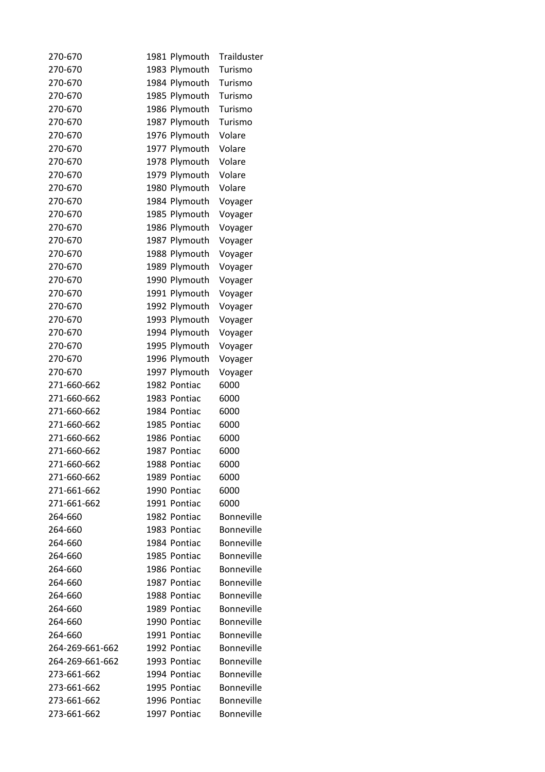| 270-670         | 1981 Plymouth | Trailduster       |
|-----------------|---------------|-------------------|
| 270-670         | 1983 Plymouth | Turismo           |
| 270-670         | 1984 Plymouth | Turismo           |
| 270-670         | 1985 Plymouth | Turismo           |
| 270-670         | 1986 Plymouth | Turismo           |
| 270-670         | 1987 Plymouth | Turismo           |
| 270-670         | 1976 Plymouth | Volare            |
| 270-670         | 1977 Plymouth | Volare            |
| 270-670         | 1978 Plymouth | Volare            |
| 270-670         | 1979 Plymouth | Volare            |
| 270-670         | 1980 Plymouth | Volare            |
| 270-670         | 1984 Plymouth | Voyager           |
| 270-670         | 1985 Plymouth | Voyager           |
| 270-670         | 1986 Plymouth | Voyager           |
| 270-670         | 1987 Plymouth | Voyager           |
| 270-670         | 1988 Plymouth | Voyager           |
| 270-670         | 1989 Plymouth | Voyager           |
| 270-670         | 1990 Plymouth | Voyager           |
| 270-670         | 1991 Plymouth | Voyager           |
| 270-670         | 1992 Plymouth | Voyager           |
| 270-670         | 1993 Plymouth | Voyager           |
| 270-670         | 1994 Plymouth | Voyager           |
| 270-670         | 1995 Plymouth | Voyager           |
| 270-670         | 1996 Plymouth | Voyager           |
| 270-670         | 1997 Plymouth | Voyager           |
| 271-660-662     | 1982 Pontiac  | 6000              |
| 271-660-662     | 1983 Pontiac  | 6000              |
|                 | 1984 Pontiac  | 6000              |
| 271-660-662     |               |                   |
| 271-660-662     | 1985 Pontiac  | 6000              |
| 271-660-662     | 1986 Pontiac  | 6000              |
| 271-660-662     | 1987 Pontiac  | 6000              |
| 271-660-662     | 1988 Pontiac  | 6000              |
| 271-660-662     | 1989 Pontiac  | 6000              |
| 271-661-662     | 1990 Pontiac  | 6000              |
| 271-661-662     | 1991 Pontiac  | 6000              |
| 264-660         | 1982 Pontiac  | <b>Bonneville</b> |
| 264-660         | 1983 Pontiac  | <b>Bonneville</b> |
| 264-660         | 1984 Pontiac  | <b>Bonneville</b> |
| 264-660         | 1985 Pontiac  | <b>Bonneville</b> |
| 264-660         | 1986 Pontiac  | <b>Bonneville</b> |
| 264-660         | 1987 Pontiac  | <b>Bonneville</b> |
| 264-660         | 1988 Pontiac  | Bonneville        |
| 264-660         | 1989 Pontiac  | <b>Bonneville</b> |
| 264-660         | 1990 Pontiac  | <b>Bonneville</b> |
| 264-660         | 1991 Pontiac  | <b>Bonneville</b> |
| 264-269-661-662 | 1992 Pontiac  | <b>Bonneville</b> |
| 264-269-661-662 | 1993 Pontiac  | <b>Bonneville</b> |
| 273-661-662     | 1994 Pontiac  | <b>Bonneville</b> |
| 273-661-662     | 1995 Pontiac  | <b>Bonneville</b> |
| 273-661-662     | 1996 Pontiac  | Bonneville        |
| 273-661-662     | 1997 Pontiac  | Bonneville        |
|                 |               |                   |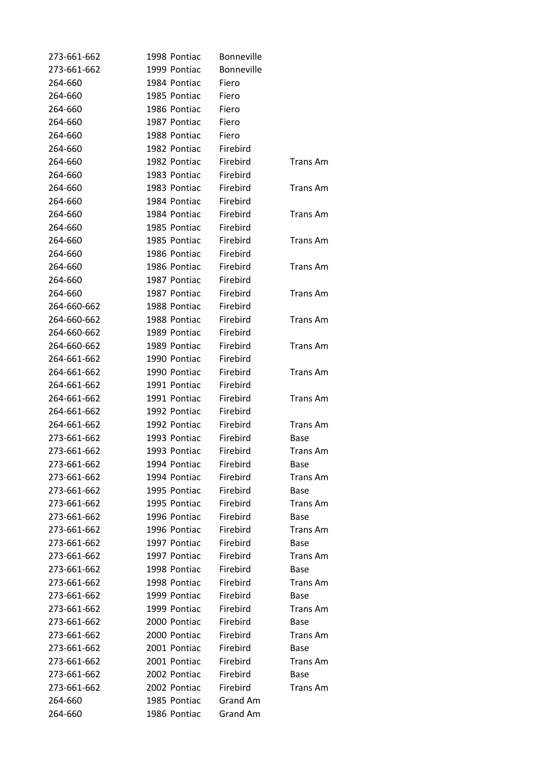| 273-661-662 | 1998 Pontiac | Bonneville        |                 |
|-------------|--------------|-------------------|-----------------|
| 273-661-662 | 1999 Pontiac | <b>Bonneville</b> |                 |
| 264-660     | 1984 Pontiac | Fiero             |                 |
| 264-660     | 1985 Pontiac | Fiero             |                 |
| 264-660     | 1986 Pontiac | Fiero             |                 |
| 264-660     | 1987 Pontiac | Fiero             |                 |
| 264-660     | 1988 Pontiac | Fiero             |                 |
| 264-660     | 1982 Pontiac | Firebird          |                 |
| 264-660     | 1982 Pontiac | Firebird          | <b>Trans Am</b> |
| 264-660     | 1983 Pontiac | Firebird          |                 |
| 264-660     | 1983 Pontiac | Firebird          | <b>Trans Am</b> |
| 264-660     | 1984 Pontiac | Firebird          |                 |
| 264-660     | 1984 Pontiac | Firebird          | <b>Trans Am</b> |
| 264-660     | 1985 Pontiac | Firebird          |                 |
| 264-660     | 1985 Pontiac | Firebird          | <b>Trans Am</b> |
| 264-660     | 1986 Pontiac | Firebird          |                 |
| 264-660     | 1986 Pontiac | Firebird          | <b>Trans Am</b> |
| 264-660     | 1987 Pontiac | Firebird          |                 |
| 264-660     | 1987 Pontiac | Firebird          | <b>Trans Am</b> |
| 264-660-662 | 1988 Pontiac | Firebird          |                 |
| 264-660-662 | 1988 Pontiac | Firebird          | <b>Trans Am</b> |
| 264-660-662 | 1989 Pontiac | Firebird          |                 |
| 264-660-662 | 1989 Pontiac | Firebird          | <b>Trans Am</b> |
| 264-661-662 | 1990 Pontiac | Firebird          |                 |
| 264-661-662 | 1990 Pontiac | Firebird          | <b>Trans Am</b> |
| 264-661-662 | 1991 Pontiac | Firebird          |                 |
| 264-661-662 | 1991 Pontiac | Firebird          | <b>Trans Am</b> |
| 264-661-662 | 1992 Pontiac | Firebird          |                 |
| 264-661-662 | 1992 Pontiac | Firebird          | <b>Trans Am</b> |
| 273-661-662 | 1993 Pontiac | Firebird          | Base            |
| 273-661-662 | 1993 Pontiac | Firebird          | <b>Trans Am</b> |
| 273-661-662 | 1994 Pontiac | Firebird          | Base            |
| 273-661-662 | 1994 Pontiac | Firebird          | <b>Trans Am</b> |
| 273-661-662 | 1995 Pontiac | Firebird          | Base            |
| 273-661-662 | 1995 Pontiac | Firebird          | <b>Trans Am</b> |
| 273-661-662 | 1996 Pontiac | Firebird          | Base            |
| 273-661-662 | 1996 Pontiac | Firebird          | <b>Trans Am</b> |
| 273-661-662 | 1997 Pontiac | Firebird          | Base            |
| 273-661-662 | 1997 Pontiac | Firebird          | <b>Trans Am</b> |
| 273-661-662 | 1998 Pontiac | Firebird          | Base            |
| 273-661-662 | 1998 Pontiac | Firebird          | <b>Trans Am</b> |
| 273-661-662 | 1999 Pontiac | Firebird          | Base            |
| 273-661-662 | 1999 Pontiac | Firebird          | <b>Trans Am</b> |
| 273-661-662 | 2000 Pontiac | Firebird          | Base            |
| 273-661-662 | 2000 Pontiac | Firebird          | Trans Am        |
| 273-661-662 | 2001 Pontiac | Firebird          | Base            |
| 273-661-662 | 2001 Pontiac | Firebird          | <b>Trans Am</b> |
| 273-661-662 | 2002 Pontiac | Firebird          | Base            |
| 273-661-662 | 2002 Pontiac | Firebird          | <b>Trans Am</b> |
| 264-660     | 1985 Pontiac | Grand Am          |                 |
| 264-660     | 1986 Pontiac | Grand Am          |                 |
|             |              |                   |                 |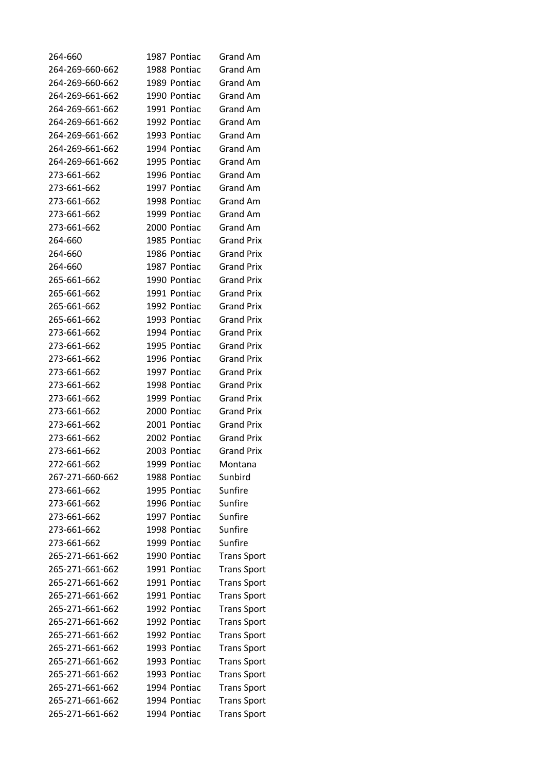| 264-660         | 1987 Pontiac | Grand Am           |
|-----------------|--------------|--------------------|
| 264-269-660-662 | 1988 Pontiac | Grand Am           |
| 264-269-660-662 | 1989 Pontiac | Grand Am           |
| 264-269-661-662 | 1990 Pontiac | <b>Grand Am</b>    |
| 264-269-661-662 | 1991 Pontiac | <b>Grand Am</b>    |
| 264-269-661-662 | 1992 Pontiac | Grand Am           |
| 264-269-661-662 | 1993 Pontiac | <b>Grand Am</b>    |
| 264-269-661-662 | 1994 Pontiac | <b>Grand Am</b>    |
| 264-269-661-662 | 1995 Pontiac | <b>Grand Am</b>    |
| 273-661-662     | 1996 Pontiac | Grand Am           |
| 273-661-662     | 1997 Pontiac | Grand Am           |
| 273-661-662     | 1998 Pontiac | Grand Am           |
| 273-661-662     | 1999 Pontiac | <b>Grand Am</b>    |
| 273-661-662     | 2000 Pontiac | Grand Am           |
| 264-660         | 1985 Pontiac | <b>Grand Prix</b>  |
| 264-660         | 1986 Pontiac | <b>Grand Prix</b>  |
| 264-660         | 1987 Pontiac | <b>Grand Prix</b>  |
| 265-661-662     | 1990 Pontiac | <b>Grand Prix</b>  |
|                 | 1991 Pontiac |                    |
| 265-661-662     |              | <b>Grand Prix</b>  |
| 265-661-662     | 1992 Pontiac | <b>Grand Prix</b>  |
| 265-661-662     | 1993 Pontiac | <b>Grand Prix</b>  |
| 273-661-662     | 1994 Pontiac | <b>Grand Prix</b>  |
| 273-661-662     | 1995 Pontiac | <b>Grand Prix</b>  |
| 273-661-662     | 1996 Pontiac | <b>Grand Prix</b>  |
| 273-661-662     | 1997 Pontiac | <b>Grand Prix</b>  |
| 273-661-662     | 1998 Pontiac | <b>Grand Prix</b>  |
| 273-661-662     | 1999 Pontiac | <b>Grand Prix</b>  |
| 273-661-662     | 2000 Pontiac | <b>Grand Prix</b>  |
| 273-661-662     | 2001 Pontiac | <b>Grand Prix</b>  |
| 273-661-662     | 2002 Pontiac | <b>Grand Prix</b>  |
| 273-661-662     | 2003 Pontiac | <b>Grand Prix</b>  |
| 272-661-662     | 1999 Pontiac | Montana            |
| 267-271-660-662 | 1988 Pontiac | Sunbird            |
| 273-661-662     | 1995 Pontiac | Sunfire            |
| 273-661-662     | 1996 Pontiac | Sunfire            |
| 273-661-662     | 1997 Pontiac | Sunfire            |
| 273-661-662     | 1998 Pontiac | Sunfire            |
| 273-661-662     | 1999 Pontiac | Sunfire            |
| 265-271-661-662 | 1990 Pontiac | <b>Trans Sport</b> |
| 265-271-661-662 | 1991 Pontiac | <b>Trans Sport</b> |
| 265-271-661-662 | 1991 Pontiac | <b>Trans Sport</b> |
| 265-271-661-662 | 1991 Pontiac | <b>Trans Sport</b> |
| 265-271-661-662 | 1992 Pontiac | <b>Trans Sport</b> |
| 265-271-661-662 | 1992 Pontiac | <b>Trans Sport</b> |
| 265-271-661-662 | 1992 Pontiac | <b>Trans Sport</b> |
| 265-271-661-662 | 1993 Pontiac | <b>Trans Sport</b> |
| 265-271-661-662 | 1993 Pontiac | <b>Trans Sport</b> |
| 265-271-661-662 | 1993 Pontiac | <b>Trans Sport</b> |
| 265-271-661-662 | 1994 Pontiac | <b>Trans Sport</b> |
| 265-271-661-662 | 1994 Pontiac | <b>Trans Sport</b> |
| 265-271-661-662 | 1994 Pontiac | <b>Trans Sport</b> |
|                 |              |                    |